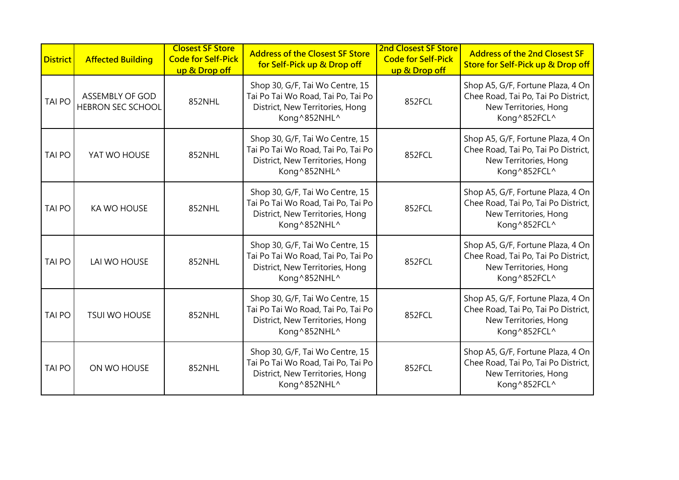| <b>District</b> | <b>Affected Building</b>                    | <b>Closest SF Store</b><br><b>Code for Self-Pick</b><br>up & Drop off | <b>Address of the Closest SF Store</b><br>for Self-Pick up & Drop off                                                    | <b>2nd Closest SF Store</b><br><b>Code for Self-Pick</b><br>up & Drop off | <b>Address of the 2nd Closest SF</b><br>Store for Self-Pick up & Drop off                                         |
|-----------------|---------------------------------------------|-----------------------------------------------------------------------|--------------------------------------------------------------------------------------------------------------------------|---------------------------------------------------------------------------|-------------------------------------------------------------------------------------------------------------------|
| <b>TAI PO</b>   | ASSEMBLY OF GOD<br><b>HEBRON SEC SCHOOL</b> | 852NHL                                                                | Shop 30, G/F, Tai Wo Centre, 15<br>Tai Po Tai Wo Road, Tai Po, Tai Po<br>District, New Territories, Hong<br>Kong^852NHL^ | 852FCL                                                                    | Shop A5, G/F, Fortune Plaza, 4 On<br>Chee Road, Tai Po, Tai Po District,<br>New Territories, Hong<br>Kong^852FCL^ |
| <b>TAI PO</b>   | YAT WO HOUSE                                | 852NHL                                                                | Shop 30, G/F, Tai Wo Centre, 15<br>Tai Po Tai Wo Road, Tai Po, Tai Po<br>District, New Territories, Hong<br>Kong^852NHL^ | 852FCL                                                                    | Shop A5, G/F, Fortune Plaza, 4 On<br>Chee Road, Tai Po, Tai Po District,<br>New Territories, Hong<br>Kong^852FCL^ |
| <b>TAI PO</b>   | <b>KA WO HOUSE</b>                          | 852NHL                                                                | Shop 30, G/F, Tai Wo Centre, 15<br>Tai Po Tai Wo Road, Tai Po, Tai Po<br>District, New Territories, Hong<br>Kong^852NHL^ | 852FCL                                                                    | Shop A5, G/F, Fortune Plaza, 4 On<br>Chee Road, Tai Po, Tai Po District,<br>New Territories, Hong<br>Kong^852FCL^ |
| <b>TAI PO</b>   | LAI WO HOUSE                                | 852NHL                                                                | Shop 30, G/F, Tai Wo Centre, 15<br>Tai Po Tai Wo Road, Tai Po, Tai Po<br>District, New Territories, Hong<br>Kong^852NHL^ | 852FCL                                                                    | Shop A5, G/F, Fortune Plaza, 4 On<br>Chee Road, Tai Po, Tai Po District,<br>New Territories, Hong<br>Kong^852FCL^ |
| <b>TAI PO</b>   | <b>TSUI WO HOUSE</b>                        | 852NHL                                                                | Shop 30, G/F, Tai Wo Centre, 15<br>Tai Po Tai Wo Road, Tai Po, Tai Po<br>District, New Territories, Hong<br>Kong^852NHL^ | 852FCL                                                                    | Shop A5, G/F, Fortune Plaza, 4 On<br>Chee Road, Tai Po, Tai Po District,<br>New Territories, Hong<br>Kong^852FCL^ |
| <b>TAI PO</b>   | ON WO HOUSE                                 | 852NHL                                                                | Shop 30, G/F, Tai Wo Centre, 15<br>Tai Po Tai Wo Road, Tai Po, Tai Po<br>District, New Territories, Hong<br>Kong^852NHL^ | 852FCL                                                                    | Shop A5, G/F, Fortune Plaza, 4 On<br>Chee Road, Tai Po, Tai Po District,<br>New Territories, Hong<br>Kong^852FCL^ |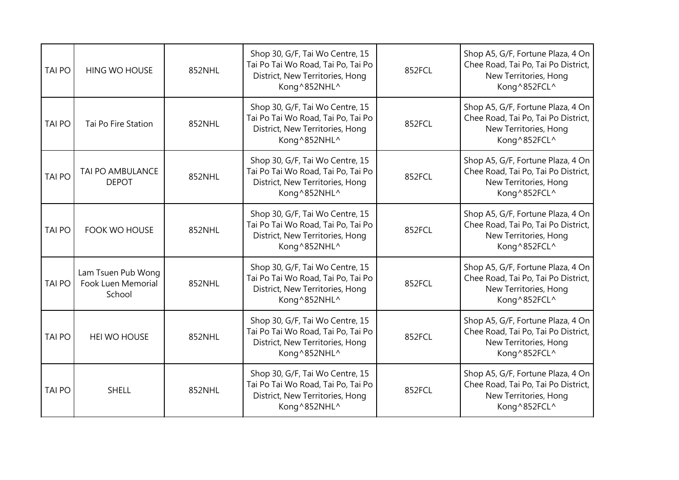| <b>TAI PO</b> | <b>HING WO HOUSE</b>                               | 852NHL | Shop 30, G/F, Tai Wo Centre, 15<br>Tai Po Tai Wo Road, Tai Po, Tai Po<br>District, New Territories, Hong<br>Kong^852NHL^ | 852FCL | Shop A5, G/F, Fortune Plaza, 4 On<br>Chee Road, Tai Po, Tai Po District,<br>New Territories, Hong<br>Kong^852FCL^ |
|---------------|----------------------------------------------------|--------|--------------------------------------------------------------------------------------------------------------------------|--------|-------------------------------------------------------------------------------------------------------------------|
| <b>TAI PO</b> | Tai Po Fire Station                                | 852NHL | Shop 30, G/F, Tai Wo Centre, 15<br>Tai Po Tai Wo Road, Tai Po, Tai Po<br>District, New Territories, Hong<br>Kong^852NHL^ | 852FCL | Shop A5, G/F, Fortune Plaza, 4 On<br>Chee Road, Tai Po, Tai Po District,<br>New Territories, Hong<br>Kong^852FCL^ |
| <b>TAI PO</b> | <b>TAI PO AMBULANCE</b><br><b>DEPOT</b>            | 852NHL | Shop 30, G/F, Tai Wo Centre, 15<br>Tai Po Tai Wo Road, Tai Po, Tai Po<br>District, New Territories, Hong<br>Kong^852NHL^ | 852FCL | Shop A5, G/F, Fortune Plaza, 4 On<br>Chee Road, Tai Po, Tai Po District,<br>New Territories, Hong<br>Kong^852FCL^ |
| <b>TAI PO</b> | <b>FOOK WO HOUSE</b>                               | 852NHL | Shop 30, G/F, Tai Wo Centre, 15<br>Tai Po Tai Wo Road, Tai Po, Tai Po<br>District, New Territories, Hong<br>Kong^852NHL^ | 852FCL | Shop A5, G/F, Fortune Plaza, 4 On<br>Chee Road, Tai Po, Tai Po District,<br>New Territories, Hong<br>Kong^852FCL^ |
| <b>TAI PO</b> | Lam Tsuen Pub Wong<br>Fook Luen Memorial<br>School | 852NHL | Shop 30, G/F, Tai Wo Centre, 15<br>Tai Po Tai Wo Road, Tai Po, Tai Po<br>District, New Territories, Hong<br>Kong^852NHL^ | 852FCL | Shop A5, G/F, Fortune Plaza, 4 On<br>Chee Road, Tai Po, Tai Po District,<br>New Territories, Hong<br>Kong^852FCL^ |
| <b>TAI PO</b> | <b>HEI WO HOUSE</b>                                | 852NHL | Shop 30, G/F, Tai Wo Centre, 15<br>Tai Po Tai Wo Road, Tai Po, Tai Po<br>District, New Territories, Hong<br>Kong^852NHL^ | 852FCL | Shop A5, G/F, Fortune Plaza, 4 On<br>Chee Road, Tai Po, Tai Po District,<br>New Territories, Hong<br>Kong^852FCL^ |
| <b>TAI PO</b> | <b>SHELL</b>                                       | 852NHL | Shop 30, G/F, Tai Wo Centre, 15<br>Tai Po Tai Wo Road, Tai Po, Tai Po<br>District, New Territories, Hong<br>Kong^852NHL^ | 852FCL | Shop A5, G/F, Fortune Plaza, 4 On<br>Chee Road, Tai Po, Tai Po District,<br>New Territories, Hong<br>Kong^852FCL^ |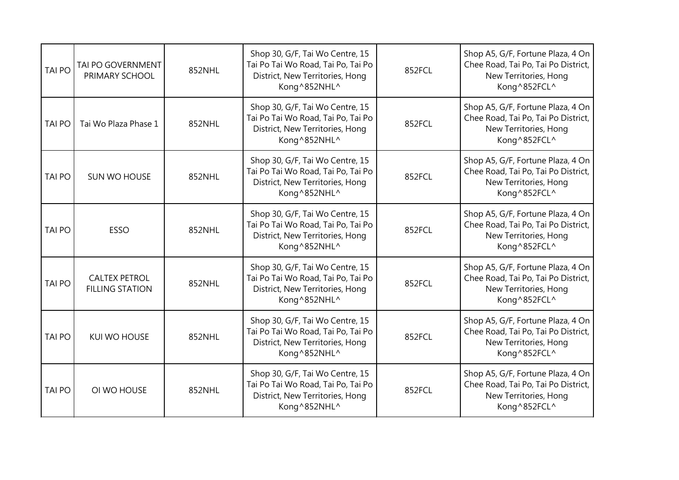| <b>TAI PO</b> | TAI PO GOVERNMENT<br>PRIMARY SCHOOL            | 852NHL | Shop 30, G/F, Tai Wo Centre, 15<br>Tai Po Tai Wo Road, Tai Po, Tai Po<br>District, New Territories, Hong<br>Kong^852NHL^ | 852FCL | Shop A5, G/F, Fortune Plaza, 4 On<br>Chee Road, Tai Po, Tai Po District,<br>New Territories, Hong<br>Kong^852FCL^ |
|---------------|------------------------------------------------|--------|--------------------------------------------------------------------------------------------------------------------------|--------|-------------------------------------------------------------------------------------------------------------------|
| <b>TAI PO</b> | Tai Wo Plaza Phase 1                           | 852NHL | Shop 30, G/F, Tai Wo Centre, 15<br>Tai Po Tai Wo Road, Tai Po, Tai Po<br>District, New Territories, Hong<br>Kong^852NHL^ | 852FCL | Shop A5, G/F, Fortune Plaza, 4 On<br>Chee Road, Tai Po, Tai Po District,<br>New Territories, Hong<br>Kong^852FCL^ |
| <b>TAI PO</b> | SUN WO HOUSE                                   | 852NHL | Shop 30, G/F, Tai Wo Centre, 15<br>Tai Po Tai Wo Road, Tai Po, Tai Po<br>District, New Territories, Hong<br>Kong^852NHL^ | 852FCL | Shop A5, G/F, Fortune Plaza, 4 On<br>Chee Road, Tai Po, Tai Po District,<br>New Territories, Hong<br>Kong^852FCL^ |
| <b>TAI PO</b> | ESSO                                           | 852NHL | Shop 30, G/F, Tai Wo Centre, 15<br>Tai Po Tai Wo Road, Tai Po, Tai Po<br>District, New Territories, Hong<br>Kong^852NHL^ | 852FCL | Shop A5, G/F, Fortune Plaza, 4 On<br>Chee Road, Tai Po, Tai Po District,<br>New Territories, Hong<br>Kong^852FCL^ |
| <b>TAI PO</b> | <b>CALTEX PETROL</b><br><b>FILLING STATION</b> | 852NHL | Shop 30, G/F, Tai Wo Centre, 15<br>Tai Po Tai Wo Road, Tai Po, Tai Po<br>District, New Territories, Hong<br>Kong^852NHL^ | 852FCL | Shop A5, G/F, Fortune Plaza, 4 On<br>Chee Road, Tai Po, Tai Po District,<br>New Territories, Hong<br>Kong^852FCL^ |
| <b>TAI PO</b> | <b>KUI WO HOUSE</b>                            | 852NHL | Shop 30, G/F, Tai Wo Centre, 15<br>Tai Po Tai Wo Road, Tai Po, Tai Po<br>District, New Territories, Hong<br>Kong^852NHL^ | 852FCL | Shop A5, G/F, Fortune Plaza, 4 On<br>Chee Road, Tai Po, Tai Po District,<br>New Territories, Hong<br>Kong^852FCL^ |
| <b>TAI PO</b> | OI WO HOUSE                                    | 852NHL | Shop 30, G/F, Tai Wo Centre, 15<br>Tai Po Tai Wo Road, Tai Po, Tai Po<br>District, New Territories, Hong<br>Kong^852NHL^ | 852FCL | Shop A5, G/F, Fortune Plaza, 4 On<br>Chee Road, Tai Po, Tai Po District,<br>New Territories, Hong<br>Kong^852FCL^ |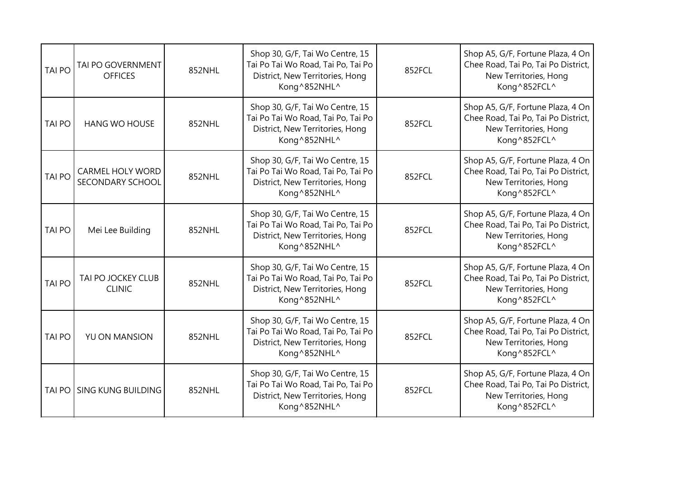| <b>TAI PO</b> | TAI PO GOVERNMENT<br><b>OFFICES</b>         | 852NHL | Shop 30, G/F, Tai Wo Centre, 15<br>Tai Po Tai Wo Road, Tai Po, Tai Po<br>District, New Territories, Hong<br>Kong^852NHL^ | 852FCL | Shop A5, G/F, Fortune Plaza, 4 On<br>Chee Road, Tai Po, Tai Po District,<br>New Territories, Hong<br>Kong^852FCL^ |
|---------------|---------------------------------------------|--------|--------------------------------------------------------------------------------------------------------------------------|--------|-------------------------------------------------------------------------------------------------------------------|
| <b>TAI PO</b> | <b>HANG WO HOUSE</b>                        | 852NHL | Shop 30, G/F, Tai Wo Centre, 15<br>Tai Po Tai Wo Road, Tai Po, Tai Po<br>District, New Territories, Hong<br>Kong^852NHL^ | 852FCL | Shop A5, G/F, Fortune Plaza, 4 On<br>Chee Road, Tai Po, Tai Po District,<br>New Territories, Hong<br>Kong^852FCL^ |
| <b>TAI PO</b> | <b>CARMEL HOLY WORD</b><br>SECONDARY SCHOOL | 852NHL | Shop 30, G/F, Tai Wo Centre, 15<br>Tai Po Tai Wo Road, Tai Po, Tai Po<br>District, New Territories, Hong<br>Kong^852NHL^ | 852FCL | Shop A5, G/F, Fortune Plaza, 4 On<br>Chee Road, Tai Po, Tai Po District,<br>New Territories, Hong<br>Kong^852FCL^ |
| <b>TAI PO</b> | Mei Lee Building                            | 852NHL | Shop 30, G/F, Tai Wo Centre, 15<br>Tai Po Tai Wo Road, Tai Po, Tai Po<br>District, New Territories, Hong<br>Kong^852NHL^ | 852FCL | Shop A5, G/F, Fortune Plaza, 4 On<br>Chee Road, Tai Po, Tai Po District,<br>New Territories, Hong<br>Kong^852FCL^ |
| <b>TAI PO</b> | TAI PO JOCKEY CLUB<br><b>CLINIC</b>         | 852NHL | Shop 30, G/F, Tai Wo Centre, 15<br>Tai Po Tai Wo Road, Tai Po, Tai Po<br>District, New Territories, Hong<br>Kong^852NHL^ | 852FCL | Shop A5, G/F, Fortune Plaza, 4 On<br>Chee Road, Tai Po, Tai Po District,<br>New Territories, Hong<br>Kong^852FCL^ |
| <b>TAI PO</b> | YU ON MANSION                               | 852NHL | Shop 30, G/F, Tai Wo Centre, 15<br>Tai Po Tai Wo Road, Tai Po, Tai Po<br>District, New Territories, Hong<br>Kong^852NHL^ | 852FCL | Shop A5, G/F, Fortune Plaza, 4 On<br>Chee Road, Tai Po, Tai Po District,<br>New Territories, Hong<br>Kong^852FCL^ |
|               | TAI PO I SING KUNG BUILDING                 | 852NHL | Shop 30, G/F, Tai Wo Centre, 15<br>Tai Po Tai Wo Road, Tai Po, Tai Po<br>District, New Territories, Hong<br>Kong^852NHL^ | 852FCL | Shop A5, G/F, Fortune Plaza, 4 On<br>Chee Road, Tai Po, Tai Po District,<br>New Territories, Hong<br>Kong^852FCL^ |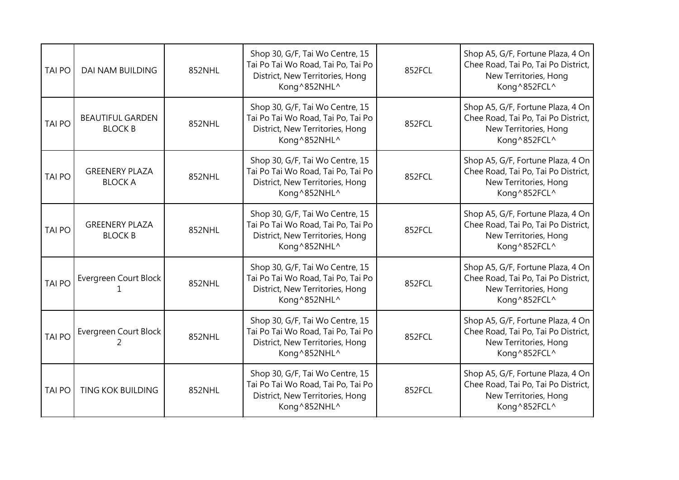| <b>TAI PO</b> | DAI NAM BUILDING                          | 852NHL | Shop 30, G/F, Tai Wo Centre, 15<br>Tai Po Tai Wo Road, Tai Po, Tai Po<br>District, New Territories, Hong<br>Kong^852NHL^ | 852FCL | Shop A5, G/F, Fortune Plaza, 4 On<br>Chee Road, Tai Po, Tai Po District,<br>New Territories, Hong<br>Kong^852FCL^ |
|---------------|-------------------------------------------|--------|--------------------------------------------------------------------------------------------------------------------------|--------|-------------------------------------------------------------------------------------------------------------------|
| <b>TAI PO</b> | <b>BEAUTIFUL GARDEN</b><br><b>BLOCK B</b> | 852NHL | Shop 30, G/F, Tai Wo Centre, 15<br>Tai Po Tai Wo Road, Tai Po, Tai Po<br>District, New Territories, Hong<br>Kong^852NHL^ | 852FCL | Shop A5, G/F, Fortune Plaza, 4 On<br>Chee Road, Tai Po, Tai Po District,<br>New Territories, Hong<br>Kong^852FCL^ |
| <b>TAI PO</b> | <b>GREENERY PLAZA</b><br><b>BLOCK A</b>   | 852NHL | Shop 30, G/F, Tai Wo Centre, 15<br>Tai Po Tai Wo Road, Tai Po, Tai Po<br>District, New Territories, Hong<br>Kong^852NHL^ | 852FCL | Shop A5, G/F, Fortune Plaza, 4 On<br>Chee Road, Tai Po, Tai Po District,<br>New Territories, Hong<br>Kong^852FCL^ |
| <b>TAI PO</b> | <b>GREENERY PLAZA</b><br><b>BLOCK B</b>   | 852NHL | Shop 30, G/F, Tai Wo Centre, 15<br>Tai Po Tai Wo Road, Tai Po, Tai Po<br>District, New Territories, Hong<br>Kong^852NHL^ | 852FCL | Shop A5, G/F, Fortune Plaza, 4 On<br>Chee Road, Tai Po, Tai Po District,<br>New Territories, Hong<br>Kong^852FCL^ |
| <b>TAI PO</b> | Evergreen Court Block                     | 852NHL | Shop 30, G/F, Tai Wo Centre, 15<br>Tai Po Tai Wo Road, Tai Po, Tai Po<br>District, New Territories, Hong<br>Kong^852NHL^ | 852FCL | Shop A5, G/F, Fortune Plaza, 4 On<br>Chee Road, Tai Po, Tai Po District,<br>New Territories, Hong<br>Kong^852FCL^ |
| <b>TAI PO</b> | Evergreen Court Block<br>2                | 852NHL | Shop 30, G/F, Tai Wo Centre, 15<br>Tai Po Tai Wo Road, Tai Po, Tai Po<br>District, New Territories, Hong<br>Kong^852NHL^ | 852FCL | Shop A5, G/F, Fortune Plaza, 4 On<br>Chee Road, Tai Po, Tai Po District,<br>New Territories, Hong<br>Kong^852FCL^ |
| <b>TAI PO</b> | <b>TING KOK BUILDING</b>                  | 852NHL | Shop 30, G/F, Tai Wo Centre, 15<br>Tai Po Tai Wo Road, Tai Po, Tai Po<br>District, New Territories, Hong<br>Kong^852NHL^ | 852FCL | Shop A5, G/F, Fortune Plaza, 4 On<br>Chee Road, Tai Po, Tai Po District,<br>New Territories, Hong<br>Kong^852FCL^ |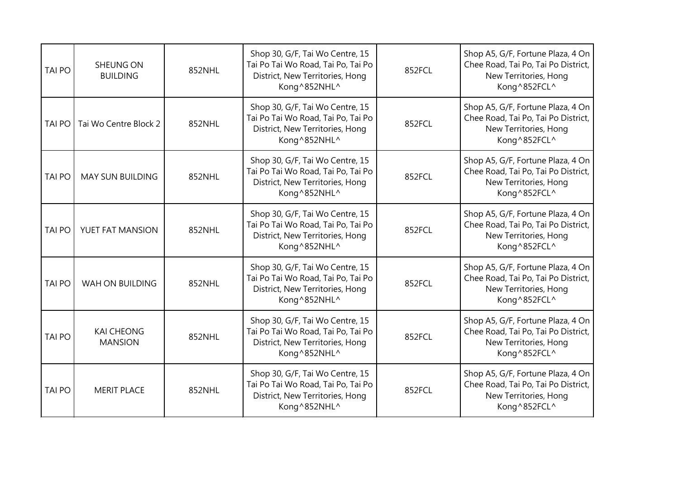| <b>TAI PO</b> | <b>SHEUNG ON</b><br><b>BUILDING</b> | 852NHL | Shop 30, G/F, Tai Wo Centre, 15<br>Tai Po Tai Wo Road, Tai Po, Tai Po<br>District, New Territories, Hong<br>Kong^852NHL^ | 852FCL | Shop A5, G/F, Fortune Plaza, 4 On<br>Chee Road, Tai Po, Tai Po District,<br>New Territories, Hong<br>Kong^852FCL^ |
|---------------|-------------------------------------|--------|--------------------------------------------------------------------------------------------------------------------------|--------|-------------------------------------------------------------------------------------------------------------------|
| TAI PO        | Tai Wo Centre Block 2               | 852NHL | Shop 30, G/F, Tai Wo Centre, 15<br>Tai Po Tai Wo Road, Tai Po, Tai Po<br>District, New Territories, Hong<br>Kong^852NHL^ | 852FCL | Shop A5, G/F, Fortune Plaza, 4 On<br>Chee Road, Tai Po, Tai Po District,<br>New Territories, Hong<br>Kong^852FCL^ |
| <b>TAI PO</b> | <b>MAY SUN BUILDING</b>             | 852NHL | Shop 30, G/F, Tai Wo Centre, 15<br>Tai Po Tai Wo Road, Tai Po, Tai Po<br>District, New Territories, Hong<br>Kong^852NHL^ | 852FCL | Shop A5, G/F, Fortune Plaza, 4 On<br>Chee Road, Tai Po, Tai Po District,<br>New Territories, Hong<br>Kong^852FCL^ |
| <b>TAI PO</b> | YUET FAT MANSION                    | 852NHL | Shop 30, G/F, Tai Wo Centre, 15<br>Tai Po Tai Wo Road, Tai Po, Tai Po<br>District, New Territories, Hong<br>Kong^852NHL^ | 852FCL | Shop A5, G/F, Fortune Plaza, 4 On<br>Chee Road, Tai Po, Tai Po District,<br>New Territories, Hong<br>Kong^852FCL^ |
| <b>TAI PO</b> | WAH ON BUILDING                     | 852NHL | Shop 30, G/F, Tai Wo Centre, 15<br>Tai Po Tai Wo Road, Tai Po, Tai Po<br>District, New Territories, Hong<br>Kong^852NHL^ | 852FCL | Shop A5, G/F, Fortune Plaza, 4 On<br>Chee Road, Tai Po, Tai Po District,<br>New Territories, Hong<br>Kong^852FCL^ |
| <b>TAI PO</b> | <b>KAI CHEONG</b><br><b>MANSION</b> | 852NHL | Shop 30, G/F, Tai Wo Centre, 15<br>Tai Po Tai Wo Road, Tai Po, Tai Po<br>District, New Territories, Hong<br>Kong^852NHL^ | 852FCL | Shop A5, G/F, Fortune Plaza, 4 On<br>Chee Road, Tai Po, Tai Po District,<br>New Territories, Hong<br>Kong^852FCL^ |
| <b>TAI PO</b> | <b>MERIT PLACE</b>                  | 852NHL | Shop 30, G/F, Tai Wo Centre, 15<br>Tai Po Tai Wo Road, Tai Po, Tai Po<br>District, New Territories, Hong<br>Kong^852NHL^ | 852FCL | Shop A5, G/F, Fortune Plaza, 4 On<br>Chee Road, Tai Po, Tai Po District,<br>New Territories, Hong<br>Kong^852FCL^ |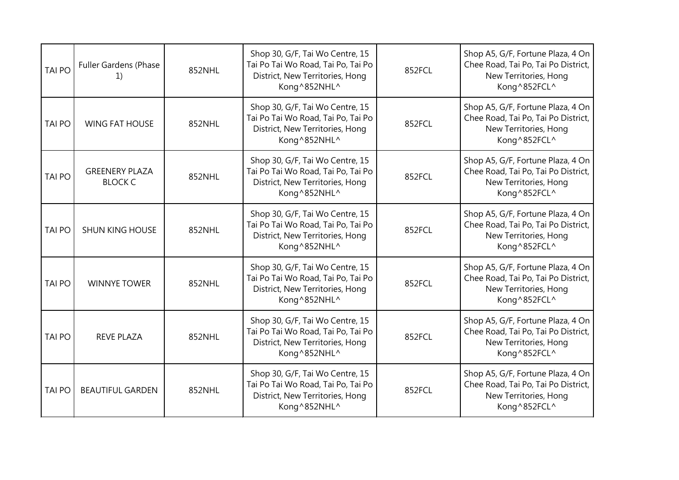| <b>TAI PO</b> | Fuller Gardens (Phase<br>L)             | 852NHL | Shop 30, G/F, Tai Wo Centre, 15<br>Tai Po Tai Wo Road, Tai Po, Tai Po<br>District, New Territories, Hong<br>Kong^852NHL^ | 852FCL | Shop A5, G/F, Fortune Plaza, 4 On<br>Chee Road, Tai Po, Tai Po District,<br>New Territories, Hong<br>Kong^852FCL^ |
|---------------|-----------------------------------------|--------|--------------------------------------------------------------------------------------------------------------------------|--------|-------------------------------------------------------------------------------------------------------------------|
| <b>TAI PO</b> | <b>WING FAT HOUSE</b>                   | 852NHL | Shop 30, G/F, Tai Wo Centre, 15<br>Tai Po Tai Wo Road, Tai Po, Tai Po<br>District, New Territories, Hong<br>Kong^852NHL^ | 852FCL | Shop A5, G/F, Fortune Plaza, 4 On<br>Chee Road, Tai Po, Tai Po District,<br>New Territories, Hong<br>Kong^852FCL^ |
| <b>TAI PO</b> | <b>GREENERY PLAZA</b><br><b>BLOCK C</b> | 852NHL | Shop 30, G/F, Tai Wo Centre, 15<br>Tai Po Tai Wo Road, Tai Po, Tai Po<br>District, New Territories, Hong<br>Kong^852NHL^ | 852FCL | Shop A5, G/F, Fortune Plaza, 4 On<br>Chee Road, Tai Po, Tai Po District,<br>New Territories, Hong<br>Kong^852FCL^ |
| <b>TAI PO</b> | <b>SHUN KING HOUSE</b>                  | 852NHL | Shop 30, G/F, Tai Wo Centre, 15<br>Tai Po Tai Wo Road, Tai Po, Tai Po<br>District, New Territories, Hong<br>Kong^852NHL^ | 852FCL | Shop A5, G/F, Fortune Plaza, 4 On<br>Chee Road, Tai Po, Tai Po District,<br>New Territories, Hong<br>Kong^852FCL^ |
| <b>TAI PO</b> | <b>WINNYE TOWER</b>                     | 852NHL | Shop 30, G/F, Tai Wo Centre, 15<br>Tai Po Tai Wo Road, Tai Po, Tai Po<br>District, New Territories, Hong<br>Kong^852NHL^ | 852FCL | Shop A5, G/F, Fortune Plaza, 4 On<br>Chee Road, Tai Po, Tai Po District,<br>New Territories, Hong<br>Kong^852FCL^ |
| <b>TAI PO</b> | <b>REVE PLAZA</b>                       | 852NHL | Shop 30, G/F, Tai Wo Centre, 15<br>Tai Po Tai Wo Road, Tai Po, Tai Po<br>District, New Territories, Hong<br>Kong^852NHL^ | 852FCL | Shop A5, G/F, Fortune Plaza, 4 On<br>Chee Road, Tai Po, Tai Po District,<br>New Territories, Hong<br>Kong^852FCL^ |
| <b>TAI PO</b> | <b>BEAUTIFUL GARDEN</b>                 | 852NHL | Shop 30, G/F, Tai Wo Centre, 15<br>Tai Po Tai Wo Road, Tai Po, Tai Po<br>District, New Territories, Hong<br>Kong^852NHL^ | 852FCL | Shop A5, G/F, Fortune Plaza, 4 On<br>Chee Road, Tai Po, Tai Po District,<br>New Territories, Hong<br>Kong^852FCL^ |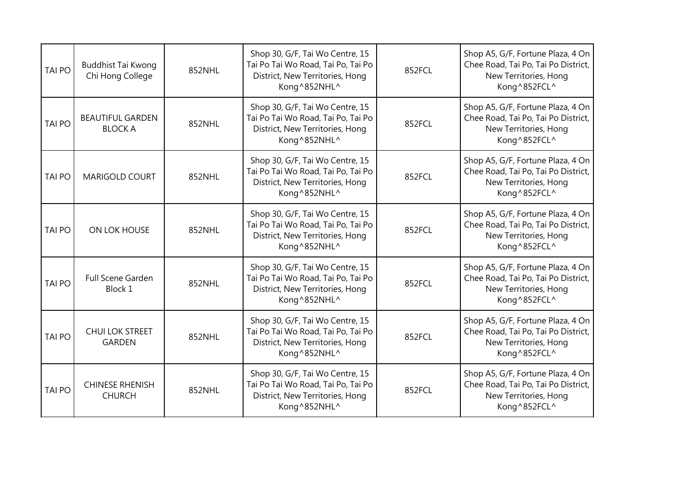| <b>TAI PO</b> | <b>Buddhist Tai Kwong</b><br>Chi Hong College | 852NHL | Shop 30, G/F, Tai Wo Centre, 15<br>Tai Po Tai Wo Road, Tai Po, Tai Po<br>District, New Territories, Hong<br>Kong^852NHL^ | 852FCL | Shop A5, G/F, Fortune Plaza, 4 On<br>Chee Road, Tai Po, Tai Po District,<br>New Territories, Hong<br>Kong^852FCL^ |
|---------------|-----------------------------------------------|--------|--------------------------------------------------------------------------------------------------------------------------|--------|-------------------------------------------------------------------------------------------------------------------|
| <b>TAI PO</b> | <b>BEAUTIFUL GARDEN</b><br><b>BLOCK A</b>     | 852NHL | Shop 30, G/F, Tai Wo Centre, 15<br>Tai Po Tai Wo Road, Tai Po, Tai Po<br>District, New Territories, Hong<br>Kong^852NHL^ | 852FCL | Shop A5, G/F, Fortune Plaza, 4 On<br>Chee Road, Tai Po, Tai Po District,<br>New Territories, Hong<br>Kong^852FCL^ |
| <b>TAI PO</b> | <b>MARIGOLD COURT</b>                         | 852NHL | Shop 30, G/F, Tai Wo Centre, 15<br>Tai Po Tai Wo Road, Tai Po, Tai Po<br>District, New Territories, Hong<br>Kong^852NHL^ | 852FCL | Shop A5, G/F, Fortune Plaza, 4 On<br>Chee Road, Tai Po, Tai Po District,<br>New Territories, Hong<br>Kong^852FCL^ |
| <b>TAI PO</b> | ON LOK HOUSE                                  | 852NHL | Shop 30, G/F, Tai Wo Centre, 15<br>Tai Po Tai Wo Road, Tai Po, Tai Po<br>District, New Territories, Hong<br>Kong^852NHL^ | 852FCL | Shop A5, G/F, Fortune Plaza, 4 On<br>Chee Road, Tai Po, Tai Po District,<br>New Territories, Hong<br>Kong^852FCL^ |
| <b>TAI PO</b> | Full Scene Garden<br>Block 1                  | 852NHL | Shop 30, G/F, Tai Wo Centre, 15<br>Tai Po Tai Wo Road, Tai Po, Tai Po<br>District, New Territories, Hong<br>Kong^852NHL^ | 852FCL | Shop A5, G/F, Fortune Plaza, 4 On<br>Chee Road, Tai Po, Tai Po District,<br>New Territories, Hong<br>Kong^852FCL^ |
| <b>TAI PO</b> | <b>CHUI LOK STREET</b><br><b>GARDEN</b>       | 852NHL | Shop 30, G/F, Tai Wo Centre, 15<br>Tai Po Tai Wo Road, Tai Po, Tai Po<br>District, New Territories, Hong<br>Kong^852NHL^ | 852FCL | Shop A5, G/F, Fortune Plaza, 4 On<br>Chee Road, Tai Po, Tai Po District,<br>New Territories, Hong<br>Kong^852FCL^ |
| <b>TAI PO</b> | <b>CHINESE RHENISH</b><br><b>CHURCH</b>       | 852NHL | Shop 30, G/F, Tai Wo Centre, 15<br>Tai Po Tai Wo Road, Tai Po, Tai Po<br>District, New Territories, Hong<br>Kong^852NHL^ | 852FCL | Shop A5, G/F, Fortune Plaza, 4 On<br>Chee Road, Tai Po, Tai Po District,<br>New Territories, Hong<br>Kong^852FCL^ |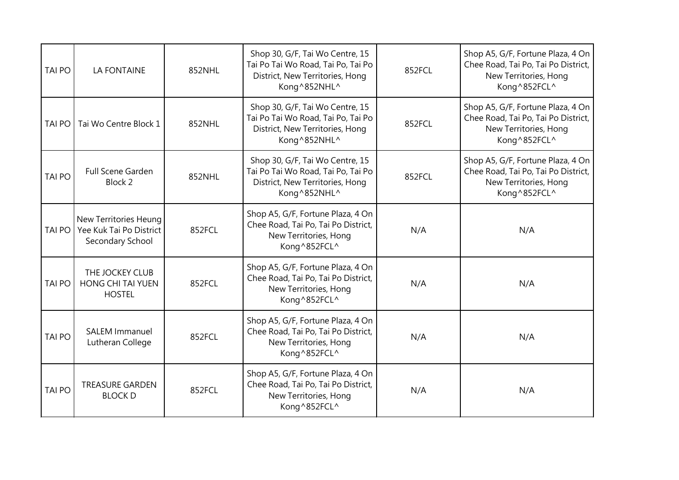| <b>TAI PO</b> | <b>LA FONTAINE</b>                                                   | 852NHL | Shop 30, G/F, Tai Wo Centre, 15<br>Tai Po Tai Wo Road, Tai Po, Tai Po<br>District, New Territories, Hong<br>Kong^852NHL^ | 852FCL | Shop A5, G/F, Fortune Plaza, 4 On<br>Chee Road, Tai Po, Tai Po District,<br>New Territories, Hong<br>Kong^852FCL^ |
|---------------|----------------------------------------------------------------------|--------|--------------------------------------------------------------------------------------------------------------------------|--------|-------------------------------------------------------------------------------------------------------------------|
| <b>TAI PO</b> | Tai Wo Centre Block 1                                                | 852NHL | Shop 30, G/F, Tai Wo Centre, 15<br>Tai Po Tai Wo Road, Tai Po, Tai Po<br>District, New Territories, Hong<br>Kong^852NHL^ | 852FCL | Shop A5, G/F, Fortune Plaza, 4 On<br>Chee Road, Tai Po, Tai Po District,<br>New Territories, Hong<br>Kong^852FCL^ |
| <b>TAI PO</b> | Full Scene Garden<br>Block 2                                         | 852NHL | Shop 30, G/F, Tai Wo Centre, 15<br>Tai Po Tai Wo Road, Tai Po, Tai Po<br>District, New Territories, Hong<br>Kong^852NHL^ | 852FCL | Shop A5, G/F, Fortune Plaza, 4 On<br>Chee Road, Tai Po, Tai Po District,<br>New Territories, Hong<br>Kong^852FCL^ |
| <b>TAI PO</b> | New Territories Heung<br>Yee Kuk Tai Po District<br>Secondary School | 852FCL | Shop A5, G/F, Fortune Plaza, 4 On<br>Chee Road, Tai Po, Tai Po District,<br>New Territories, Hong<br>Kong^852FCL^        | N/A    | N/A                                                                                                               |
| <b>TAI PO</b> | THE JOCKEY CLUB<br>HONG CHI TAI YUEN<br><b>HOSTEL</b>                | 852FCL | Shop A5, G/F, Fortune Plaza, 4 On<br>Chee Road, Tai Po, Tai Po District,<br>New Territories, Hong<br>Kong^852FCL^        | N/A    | N/A                                                                                                               |
| <b>TAI PO</b> | <b>SALEM Immanuel</b><br>Lutheran College                            | 852FCL | Shop A5, G/F, Fortune Plaza, 4 On<br>Chee Road, Tai Po, Tai Po District,<br>New Territories, Hong<br>Kong^852FCL^        | N/A    | N/A                                                                                                               |
| <b>TAI PO</b> | <b>TREASURE GARDEN</b><br><b>BLOCK D</b>                             | 852FCL | Shop A5, G/F, Fortune Plaza, 4 On<br>Chee Road, Tai Po, Tai Po District,<br>New Territories, Hong<br>Kong^852FCL^        | N/A    | N/A                                                                                                               |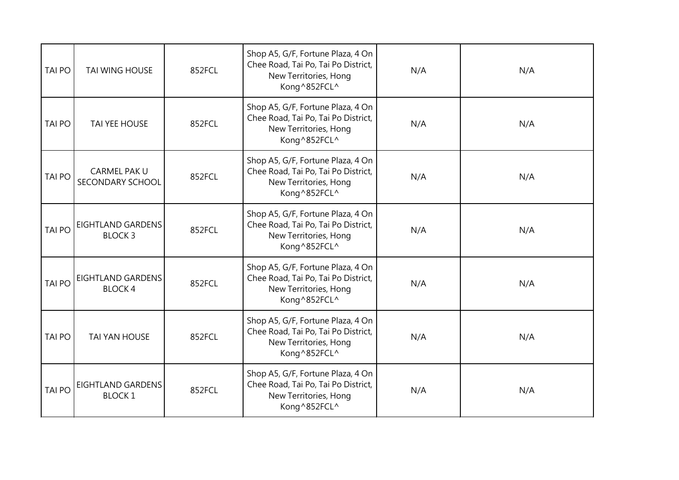| TAI PO        | TAI WING HOUSE                            | 852FCL | Shop A5, G/F, Fortune Plaza, 4 On<br>Chee Road, Tai Po, Tai Po District,<br>New Territories, Hong<br>Kong^852FCL^ | N/A | N/A |
|---------------|-------------------------------------------|--------|-------------------------------------------------------------------------------------------------------------------|-----|-----|
| <b>TAI PO</b> | TAI YEE HOUSE                             | 852FCL | Shop A5, G/F, Fortune Plaza, 4 On<br>Chee Road, Tai Po, Tai Po District,<br>New Territories, Hong<br>Kong^852FCL^ | N/A | N/A |
| <b>TAI PO</b> | CARMEL PAK U<br>SECONDARY SCHOOL          | 852FCL | Shop A5, G/F, Fortune Plaza, 4 On<br>Chee Road, Tai Po, Tai Po District,<br>New Territories, Hong<br>Kong^852FCL^ | N/A | N/A |
| <b>TAI PO</b> | <b>EIGHTLAND GARDENS</b><br><b>BLOCK3</b> | 852FCL | Shop A5, G/F, Fortune Plaza, 4 On<br>Chee Road, Tai Po, Tai Po District,<br>New Territories, Hong<br>Kong^852FCL^ | N/A | N/A |
| <b>TAI PO</b> | EIGHTLAND GARDENS<br><b>BLOCK4</b>        | 852FCL | Shop A5, G/F, Fortune Plaza, 4 On<br>Chee Road, Tai Po, Tai Po District,<br>New Territories, Hong<br>Kong^852FCL^ | N/A | N/A |
| <b>TAI PO</b> | <b>TAI YAN HOUSE</b>                      | 852FCL | Shop A5, G/F, Fortune Plaza, 4 On<br>Chee Road, Tai Po, Tai Po District,<br>New Territories, Hong<br>Kong^852FCL^ | N/A | N/A |
| <b>TAI PO</b> | <b>EIGHTLAND GARDENS</b><br><b>BLOCK1</b> | 852FCL | Shop A5, G/F, Fortune Plaza, 4 On<br>Chee Road, Tai Po, Tai Po District,<br>New Territories, Hong<br>Kong^852FCL^ | N/A | N/A |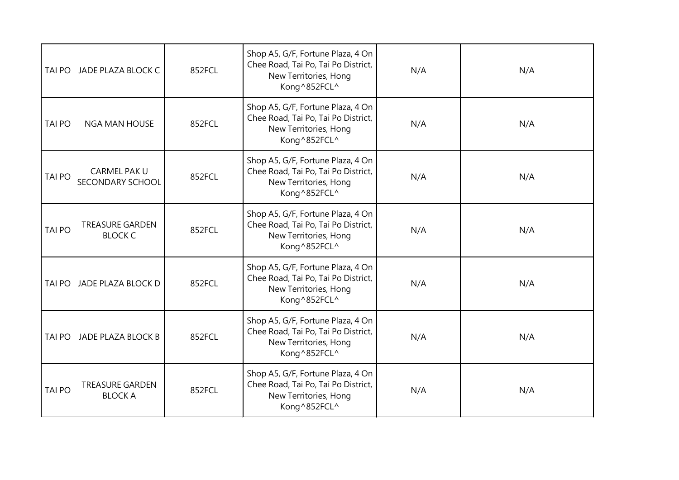| <b>TAI PO</b> | JADE PLAZA BLOCK C                       | 852FCL | Shop A5, G/F, Fortune Plaza, 4 On<br>Chee Road, Tai Po, Tai Po District,<br>New Territories, Hong<br>Kong^852FCL^ | N/A | N/A |
|---------------|------------------------------------------|--------|-------------------------------------------------------------------------------------------------------------------|-----|-----|
| <b>TAI PO</b> | <b>NGA MAN HOUSE</b>                     | 852FCL | Shop A5, G/F, Fortune Plaza, 4 On<br>Chee Road, Tai Po, Tai Po District,<br>New Territories, Hong<br>Kong^852FCL^ | N/A | N/A |
| <b>TAI PO</b> | CARMEL PAK U<br>SECONDARY SCHOOL         | 852FCL | Shop A5, G/F, Fortune Plaza, 4 On<br>Chee Road, Tai Po, Tai Po District,<br>New Territories, Hong<br>Kong^852FCL^ | N/A | N/A |
| TAI PO        | <b>TREASURE GARDEN</b><br><b>BLOCK C</b> | 852FCL | Shop A5, G/F, Fortune Plaza, 4 On<br>Chee Road, Tai Po, Tai Po District,<br>New Territories, Hong<br>Kong^852FCL^ | N/A | N/A |
| <b>TAI PO</b> | JADE PLAZA BLOCK D                       | 852FCL | Shop A5, G/F, Fortune Plaza, 4 On<br>Chee Road, Tai Po, Tai Po District,<br>New Territories, Hong<br>Kong^852FCL^ | N/A | N/A |
| <b>TAI PO</b> | <b>JADE PLAZA BLOCK B</b>                | 852FCL | Shop A5, G/F, Fortune Plaza, 4 On<br>Chee Road, Tai Po, Tai Po District,<br>New Territories, Hong<br>Kong^852FCL^ | N/A | N/A |
| <b>TAI PO</b> | <b>TREASURE GARDEN</b><br><b>BLOCK A</b> | 852FCL | Shop A5, G/F, Fortune Plaza, 4 On<br>Chee Road, Tai Po, Tai Po District,<br>New Territories, Hong<br>Kong^852FCL^ | N/A | N/A |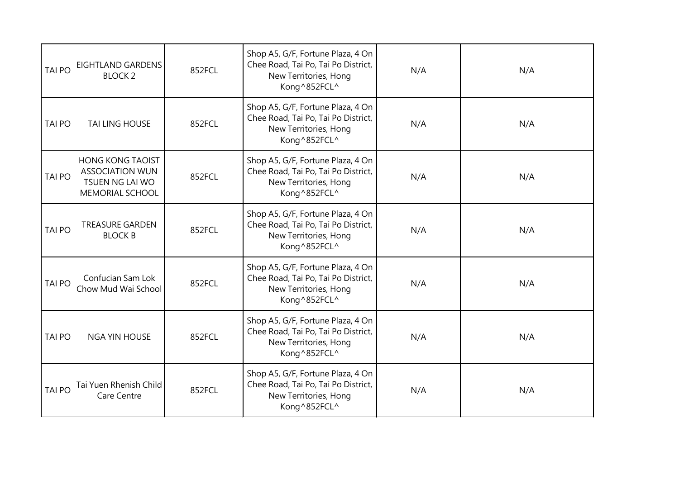| <b>TAI PO</b> | EIGHTLAND GARDENS<br><b>BLOCK 2</b>                                                            | 852FCL | Shop A5, G/F, Fortune Plaza, 4 On<br>Chee Road, Tai Po, Tai Po District,<br>New Territories, Hong<br>Kong^852FCL^ | N/A | N/A |
|---------------|------------------------------------------------------------------------------------------------|--------|-------------------------------------------------------------------------------------------------------------------|-----|-----|
| <b>TAI PO</b> | <b>TAI LING HOUSE</b>                                                                          | 852FCL | Shop A5, G/F, Fortune Plaza, 4 On<br>Chee Road, Tai Po, Tai Po District,<br>New Territories, Hong<br>Kong^852FCL^ | N/A | N/A |
| <b>TAI PO</b> | <b>HONG KONG TAOIST</b><br><b>ASSOCIATION WUN</b><br>TSUEN NG LAI WO<br><b>MEMORIAL SCHOOL</b> | 852FCL | Shop A5, G/F, Fortune Plaza, 4 On<br>Chee Road, Tai Po, Tai Po District,<br>New Territories, Hong<br>Kong^852FCL^ | N/A | N/A |
| <b>TAI PO</b> | <b>TREASURE GARDEN</b><br><b>BLOCK B</b>                                                       | 852FCL | Shop A5, G/F, Fortune Plaza, 4 On<br>Chee Road, Tai Po, Tai Po District,<br>New Territories, Hong<br>Kong^852FCL^ | N/A | N/A |
| <b>TAI PO</b> | Confucian Sam Lok<br>Chow Mud Wai School                                                       | 852FCL | Shop A5, G/F, Fortune Plaza, 4 On<br>Chee Road, Tai Po, Tai Po District,<br>New Territories, Hong<br>Kong^852FCL^ | N/A | N/A |
| <b>TAI PO</b> | <b>NGA YIN HOUSE</b>                                                                           | 852FCL | Shop A5, G/F, Fortune Plaza, 4 On<br>Chee Road, Tai Po, Tai Po District,<br>New Territories, Hong<br>Kong^852FCL^ | N/A | N/A |
| <b>TAI PO</b> | Tai Yuen Rhenish Child<br>Care Centre                                                          | 852FCL | Shop A5, G/F, Fortune Plaza, 4 On<br>Chee Road, Tai Po, Tai Po District,<br>New Territories, Hong<br>Kong^852FCL^ | N/A | N/A |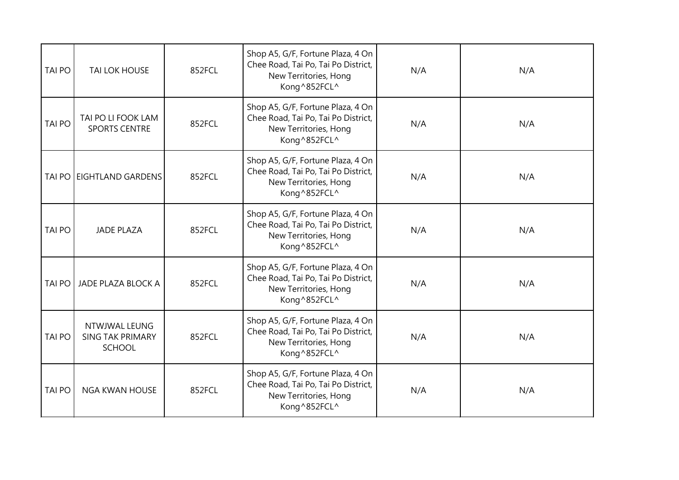| TAI PO        | <b>TAI LOK HOUSE</b>                               | 852FCL | Shop A5, G/F, Fortune Plaza, 4 On<br>Chee Road, Tai Po, Tai Po District,<br>New Territories, Hong<br>Kong^852FCL^ | N/A | N/A |
|---------------|----------------------------------------------------|--------|-------------------------------------------------------------------------------------------------------------------|-----|-----|
| <b>TAI PO</b> | TAI PO LI FOOK LAM<br><b>SPORTS CENTRE</b>         | 852FCL | Shop A5, G/F, Fortune Plaza, 4 On<br>Chee Road, Tai Po, Tai Po District,<br>New Territories, Hong<br>Kong^852FCL^ | N/A | N/A |
| TAI PO        | <b>EIGHTLAND GARDENS</b>                           | 852FCL | Shop A5, G/F, Fortune Plaza, 4 On<br>Chee Road, Tai Po, Tai Po District,<br>New Territories, Hong<br>Kong^852FCL^ | N/A | N/A |
| <b>TAI PO</b> | <b>JADE PLAZA</b>                                  | 852FCL | Shop A5, G/F, Fortune Plaza, 4 On<br>Chee Road, Tai Po, Tai Po District,<br>New Territories, Hong<br>Kong^852FCL^ | N/A | N/A |
| <b>TAI PO</b> | JADE PLAZA BLOCK A                                 | 852FCL | Shop A5, G/F, Fortune Plaza, 4 On<br>Chee Road, Tai Po, Tai Po District,<br>New Territories, Hong<br>Kong^852FCL^ | N/A | N/A |
| <b>TAI PO</b> | NTWJWAL LEUNG<br><b>SING TAK PRIMARY</b><br>SCHOOL | 852FCL | Shop A5, G/F, Fortune Plaza, 4 On<br>Chee Road, Tai Po, Tai Po District,<br>New Territories, Hong<br>Kong^852FCL^ | N/A | N/A |
| <b>TAI PO</b> | <b>NGA KWAN HOUSE</b>                              | 852FCL | Shop A5, G/F, Fortune Plaza, 4 On<br>Chee Road, Tai Po, Tai Po District,<br>New Territories, Hong<br>Kong^852FCL^ | N/A | N/A |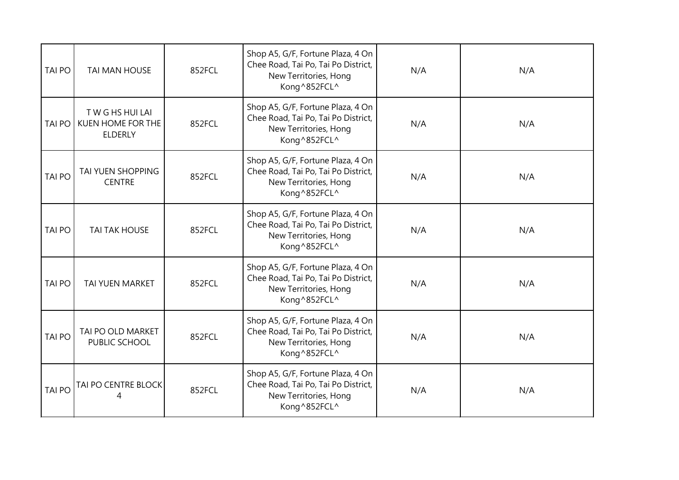| <b>TAI PO</b> | <b>TAI MAN HOUSE</b>                               | 852FCL | Shop A5, G/F, Fortune Plaza, 4 On<br>Chee Road, Tai Po, Tai Po District,<br>New Territories, Hong<br>Kong^852FCL^ | N/A | N/A |
|---------------|----------------------------------------------------|--------|-------------------------------------------------------------------------------------------------------------------|-----|-----|
| <b>TAI PO</b> | TWGHSHUILAI<br>KUEN HOME FOR THE<br><b>ELDERLY</b> | 852FCL | Shop A5, G/F, Fortune Plaza, 4 On<br>Chee Road, Tai Po, Tai Po District,<br>New Territories, Hong<br>Kong^852FCL^ | N/A | N/A |
| <b>TAI PO</b> | TAI YUEN SHOPPING<br><b>CENTRE</b>                 | 852FCL | Shop A5, G/F, Fortune Plaza, 4 On<br>Chee Road, Tai Po, Tai Po District,<br>New Territories, Hong<br>Kong^852FCL^ | N/A | N/A |
| <b>TAI PO</b> | <b>TAI TAK HOUSE</b>                               | 852FCL | Shop A5, G/F, Fortune Plaza, 4 On<br>Chee Road, Tai Po, Tai Po District,<br>New Territories, Hong<br>Kong^852FCL^ | N/A | N/A |
| <b>TAI PO</b> | TAI YUEN MARKET                                    | 852FCL | Shop A5, G/F, Fortune Plaza, 4 On<br>Chee Road, Tai Po, Tai Po District,<br>New Territories, Hong<br>Kong^852FCL^ | N/A | N/A |
| <b>TAI PO</b> | TAI PO OLD MARKET<br>PUBLIC SCHOOL                 | 852FCL | Shop A5, G/F, Fortune Plaza, 4 On<br>Chee Road, Tai Po, Tai Po District,<br>New Territories, Hong<br>Kong^852FCL^ | N/A | N/A |
| <b>TAI PO</b> | TAI PO CENTRE BLOCK                                | 852FCL | Shop A5, G/F, Fortune Plaza, 4 On<br>Chee Road, Tai Po, Tai Po District,<br>New Territories, Hong<br>Kong^852FCL^ | N/A | N/A |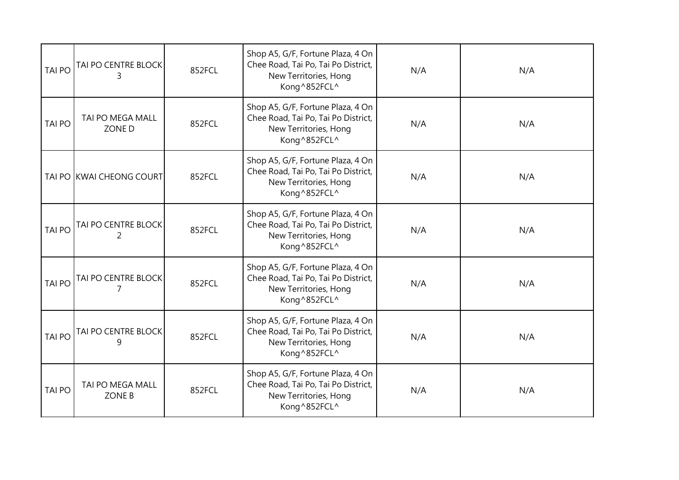| <b>TAI PO</b> | TAI PO CENTRE BLOCK<br>3          | 852FCL | Shop A5, G/F, Fortune Plaza, 4 On<br>Chee Road, Tai Po, Tai Po District,<br>New Territories, Hong<br>Kong^852FCL^ | N/A | N/A |
|---------------|-----------------------------------|--------|-------------------------------------------------------------------------------------------------------------------|-----|-----|
| <b>TAI PO</b> | TAI PO MEGA MALL<br>ZONE D        | 852FCL | Shop A5, G/F, Fortune Plaza, 4 On<br>Chee Road, Tai Po, Tai Po District,<br>New Territories, Hong<br>Kong^852FCL^ | N/A | N/A |
|               | TAI PO KWAI CHEONG COURT          | 852FCL | Shop A5, G/F, Fortune Plaza, 4 On<br>Chee Road, Tai Po, Tai Po District,<br>New Territories, Hong<br>Kong^852FCL^ | N/A | N/A |
| <b>TAI PO</b> | TAI PO CENTRE BLOCK<br>2          | 852FCL | Shop A5, G/F, Fortune Plaza, 4 On<br>Chee Road, Tai Po, Tai Po District,<br>New Territories, Hong<br>Kong^852FCL^ | N/A | N/A |
| <b>TAI PO</b> | TAI PO CENTRE BLOCK               | 852FCL | Shop A5, G/F, Fortune Plaza, 4 On<br>Chee Road, Tai Po, Tai Po District,<br>New Territories, Hong<br>Kong^852FCL^ | N/A | N/A |
| <b>TAI PO</b> | TAI PO CENTRE BLOCK<br>9          | 852FCL | Shop A5, G/F, Fortune Plaza, 4 On<br>Chee Road, Tai Po, Tai Po District,<br>New Territories, Hong<br>Kong^852FCL^ | N/A | N/A |
| <b>TAI PO</b> | TAI PO MEGA MALL<br><b>ZONE B</b> | 852FCL | Shop A5, G/F, Fortune Plaza, 4 On<br>Chee Road, Tai Po, Tai Po District,<br>New Territories, Hong<br>Kong^852FCL^ | N/A | N/A |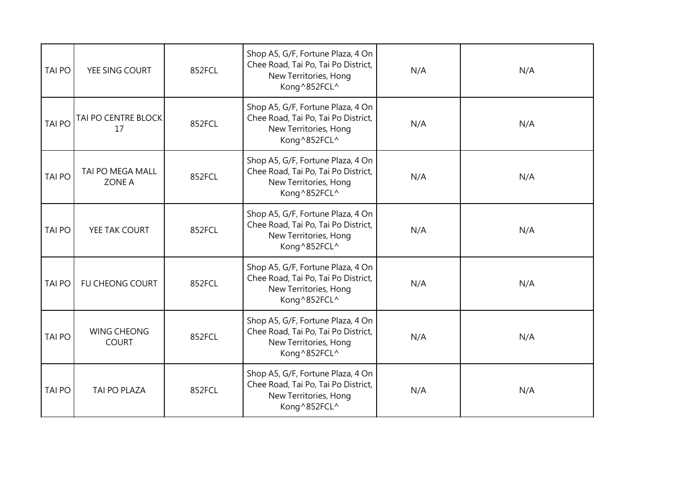| <b>TAI PO</b> | YEE SING COURT                     | 852FCL | Shop A5, G/F, Fortune Plaza, 4 On<br>Chee Road, Tai Po, Tai Po District,<br>New Territories, Hong<br>Kong^852FCL^ | N/A | N/A |
|---------------|------------------------------------|--------|-------------------------------------------------------------------------------------------------------------------|-----|-----|
| <b>TAI PO</b> | TAI PO CENTRE BLOCK<br>17          | 852FCL | Shop A5, G/F, Fortune Plaza, 4 On<br>Chee Road, Tai Po, Tai Po District,<br>New Territories, Hong<br>Kong^852FCL^ | N/A | N/A |
| <b>TAI PO</b> | TAI PO MEGA MALL<br><b>ZONE A</b>  | 852FCL | Shop A5, G/F, Fortune Plaza, 4 On<br>Chee Road, Tai Po, Tai Po District,<br>New Territories, Hong<br>Kong^852FCL^ | N/A | N/A |
| <b>TAI PO</b> | YEE TAK COURT                      | 852FCL | Shop A5, G/F, Fortune Plaza, 4 On<br>Chee Road, Tai Po, Tai Po District,<br>New Territories, Hong<br>Kong^852FCL^ | N/A | N/A |
| <b>TAI PO</b> | FU CHEONG COURT                    | 852FCL | Shop A5, G/F, Fortune Plaza, 4 On<br>Chee Road, Tai Po, Tai Po District,<br>New Territories, Hong<br>Kong^852FCL^ | N/A | N/A |
| <b>TAI PO</b> | <b>WING CHEONG</b><br><b>COURT</b> | 852FCL | Shop A5, G/F, Fortune Plaza, 4 On<br>Chee Road, Tai Po, Tai Po District,<br>New Territories, Hong<br>Kong^852FCL^ | N/A | N/A |
| <b>TAI PO</b> | TAI PO PLAZA                       | 852FCL | Shop A5, G/F, Fortune Plaza, 4 On<br>Chee Road, Tai Po, Tai Po District,<br>New Territories, Hong<br>Kong^852FCL^ | N/A | N/A |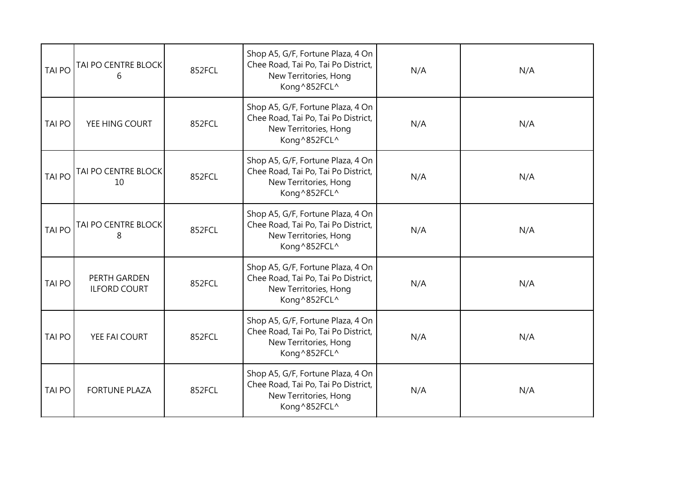| <b>TAI PO</b> | TAI PO CENTRE BLOCK<br>6            | 852FCL | Shop A5, G/F, Fortune Plaza, 4 On<br>Chee Road, Tai Po, Tai Po District,<br>New Territories, Hong<br>Kong^852FCL^ | N/A | N/A |
|---------------|-------------------------------------|--------|-------------------------------------------------------------------------------------------------------------------|-----|-----|
| <b>TAI PO</b> | YEE HING COURT                      | 852FCL | Shop A5, G/F, Fortune Plaza, 4 On<br>Chee Road, Tai Po, Tai Po District,<br>New Territories, Hong<br>Kong^852FCL^ | N/A | N/A |
| <b>TAI PO</b> | TAI PO CENTRE BLOCK<br>10           | 852FCL | Shop A5, G/F, Fortune Plaza, 4 On<br>Chee Road, Tai Po, Tai Po District,<br>New Territories, Hong<br>Kong^852FCL^ | N/A | N/A |
| <b>TAI PO</b> | TAI PO CENTRE BLOCK<br>8            | 852FCL | Shop A5, G/F, Fortune Plaza, 4 On<br>Chee Road, Tai Po, Tai Po District,<br>New Territories, Hong<br>Kong^852FCL^ | N/A | N/A |
| <b>TAI PO</b> | PERTH GARDEN<br><b>ILFORD COURT</b> | 852FCL | Shop A5, G/F, Fortune Plaza, 4 On<br>Chee Road, Tai Po, Tai Po District,<br>New Territories, Hong<br>Kong^852FCL^ | N/A | N/A |
| <b>TAI PO</b> | YEE FAI COURT                       | 852FCL | Shop A5, G/F, Fortune Plaza, 4 On<br>Chee Road, Tai Po, Tai Po District,<br>New Territories, Hong<br>Kong^852FCL^ | N/A | N/A |
| <b>TAI PO</b> | <b>FORTUNE PLAZA</b>                | 852FCL | Shop A5, G/F, Fortune Plaza, 4 On<br>Chee Road, Tai Po, Tai Po District,<br>New Territories, Hong<br>Kong^852FCL^ | N/A | N/A |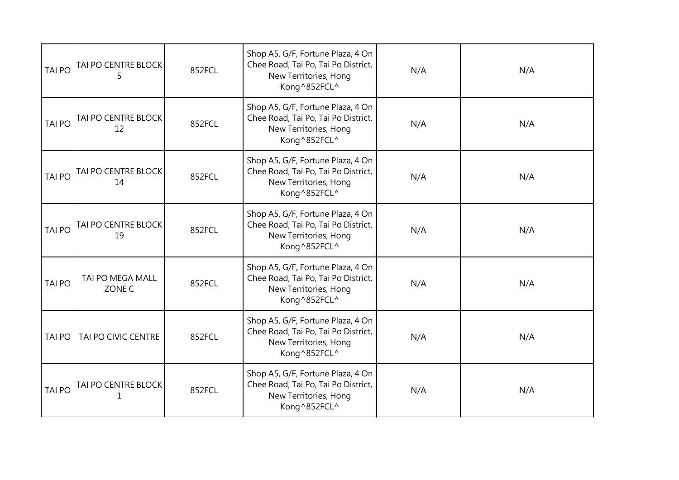| <b>TAI PO</b> | TAI PO CENTRE BLOCK<br>5   | 852FCL | Shop A5, G/F, Fortune Plaza, 4 On<br>Chee Road, Tai Po, Tai Po District,<br>New Territories, Hong<br>Kong^852FCL^ | N/A | N/A |
|---------------|----------------------------|--------|-------------------------------------------------------------------------------------------------------------------|-----|-----|
| <b>TAI PO</b> | TAI PO CENTRE BLOCK<br>12  | 852FCL | Shop A5, G/F, Fortune Plaza, 4 On<br>Chee Road, Tai Po, Tai Po District,<br>New Territories, Hong<br>Kong^852FCL^ | N/A | N/A |
| <b>TAI PO</b> | TAI PO CENTRE BLOCK<br>14  | 852FCL | Shop A5, G/F, Fortune Plaza, 4 On<br>Chee Road, Tai Po, Tai Po District,<br>New Territories, Hong<br>Kong^852FCL^ | N/A | N/A |
| <b>TAI PO</b> | TAI PO CENTRE BLOCK<br>19  | 852FCL | Shop A5, G/F, Fortune Plaza, 4 On<br>Chee Road, Tai Po, Tai Po District,<br>New Territories, Hong<br>Kong^852FCL^ | N/A | N/A |
| <b>TAI PO</b> | TAI PO MEGA MALL<br>ZONE C | 852FCL | Shop A5, G/F, Fortune Plaza, 4 On<br>Chee Road, Tai Po, Tai Po District,<br>New Territories, Hong<br>Kong^852FCL^ | N/A | N/A |
| <b>TAI PO</b> | TAI PO CIVIC CENTRE        | 852FCL | Shop A5, G/F, Fortune Plaza, 4 On<br>Chee Road, Tai Po, Tai Po District,<br>New Territories, Hong<br>Kong^852FCL^ | N/A | N/A |
| <b>TAI PO</b> | TAI PO CENTRE BLOCK        | 852FCL | Shop A5, G/F, Fortune Plaza, 4 On<br>Chee Road, Tai Po, Tai Po District,<br>New Territories, Hong<br>Kong^852FCL^ | N/A | N/A |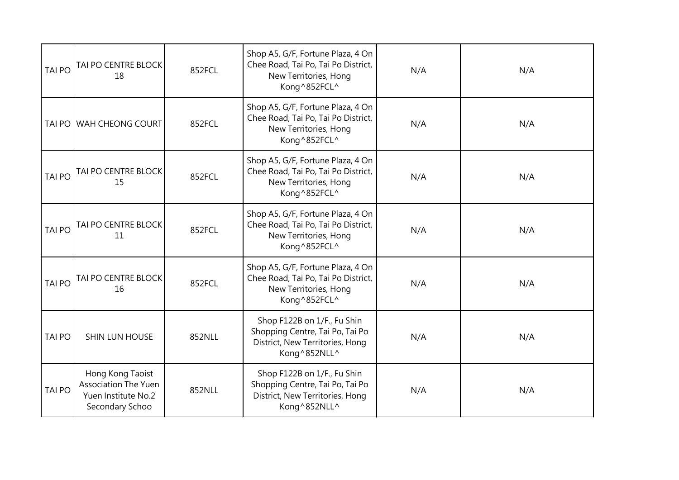| <b>TAI PO</b> | TAI PO CENTRE BLOCK<br>18                                                                 | 852FCL | Shop A5, G/F, Fortune Plaza, 4 On<br>Chee Road, Tai Po, Tai Po District,<br>New Territories, Hong<br>Kong^852FCL^ | N/A | N/A |
|---------------|-------------------------------------------------------------------------------------------|--------|-------------------------------------------------------------------------------------------------------------------|-----|-----|
| <b>TAI PO</b> | WAH CHEONG COURT                                                                          | 852FCL | Shop A5, G/F, Fortune Plaza, 4 On<br>Chee Road, Tai Po, Tai Po District,<br>New Territories, Hong<br>Kong^852FCL^ | N/A | N/A |
| <b>TAI PO</b> | TAI PO CENTRE BLOCK<br>15                                                                 | 852FCL | Shop A5, G/F, Fortune Plaza, 4 On<br>Chee Road, Tai Po, Tai Po District,<br>New Territories, Hong<br>Kong^852FCL^ | N/A | N/A |
| <b>TAI PO</b> | TAI PO CENTRE BLOCK<br>11                                                                 | 852FCL | Shop A5, G/F, Fortune Plaza, 4 On<br>Chee Road, Tai Po, Tai Po District,<br>New Territories, Hong<br>Kong^852FCL^ | N/A | N/A |
| <b>TAI PO</b> | TAI PO CENTRE BLOCK<br>16                                                                 | 852FCL | Shop A5, G/F, Fortune Plaza, 4 On<br>Chee Road, Tai Po, Tai Po District,<br>New Territories, Hong<br>Kong^852FCL^ | N/A | N/A |
| <b>TAI PO</b> | SHIN LUN HOUSE                                                                            | 852NLL | Shop F122B on 1/F., Fu Shin<br>Shopping Centre, Tai Po, Tai Po<br>District, New Territories, Hong<br>Kong^852NLL^ | N/A | N/A |
| <b>TAI PO</b> | Hong Kong Taoist<br><b>Association The Yuen</b><br>Yuen Institute No.2<br>Secondary Schoo | 852NLL | Shop F122B on 1/F., Fu Shin<br>Shopping Centre, Tai Po, Tai Po<br>District, New Territories, Hong<br>Kong^852NLL^ | N/A | N/A |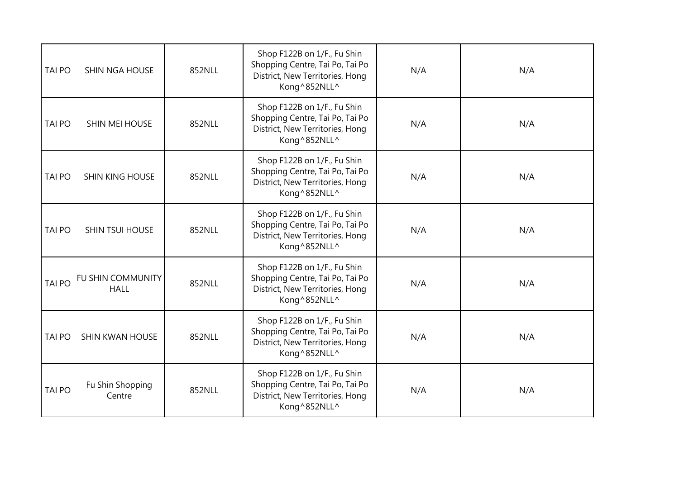| <b>TAI PO</b> | SHIN NGA HOUSE                          | 852NLL | Shop F122B on 1/F., Fu Shin<br>Shopping Centre, Tai Po, Tai Po<br>District, New Territories, Hong<br>Kong^852NLL^ | N/A | N/A |
|---------------|-----------------------------------------|--------|-------------------------------------------------------------------------------------------------------------------|-----|-----|
| <b>TAI PO</b> | SHIN MEI HOUSE                          | 852NLL | Shop F122B on 1/F., Fu Shin<br>Shopping Centre, Tai Po, Tai Po<br>District, New Territories, Hong<br>Kong^852NLL^ | N/A | N/A |
| <b>TAI PO</b> | <b>SHIN KING HOUSE</b>                  | 852NLL | Shop F122B on 1/F., Fu Shin<br>Shopping Centre, Tai Po, Tai Po<br>District, New Territories, Hong<br>Kong^852NLL^ | N/A | N/A |
| <b>TAI PO</b> | <b>SHIN TSUI HOUSE</b>                  | 852NLL | Shop F122B on 1/F., Fu Shin<br>Shopping Centre, Tai Po, Tai Po<br>District, New Territories, Hong<br>Kong^852NLL^ | N/A | N/A |
| <b>TAI PO</b> | <b>FU SHIN COMMUNITY</b><br><b>HALL</b> | 852NLL | Shop F122B on 1/F., Fu Shin<br>Shopping Centre, Tai Po, Tai Po<br>District, New Territories, Hong<br>Kong^852NLL^ | N/A | N/A |
| <b>TAI PO</b> | SHIN KWAN HOUSE                         | 852NLL | Shop F122B on 1/F., Fu Shin<br>Shopping Centre, Tai Po, Tai Po<br>District, New Territories, Hong<br>Kong^852NLL^ | N/A | N/A |
| <b>TAI PO</b> | Fu Shin Shopping<br>Centre              | 852NLL | Shop F122B on 1/F., Fu Shin<br>Shopping Centre, Tai Po, Tai Po<br>District, New Territories, Hong<br>Kong^852NLL^ | N/A | N/A |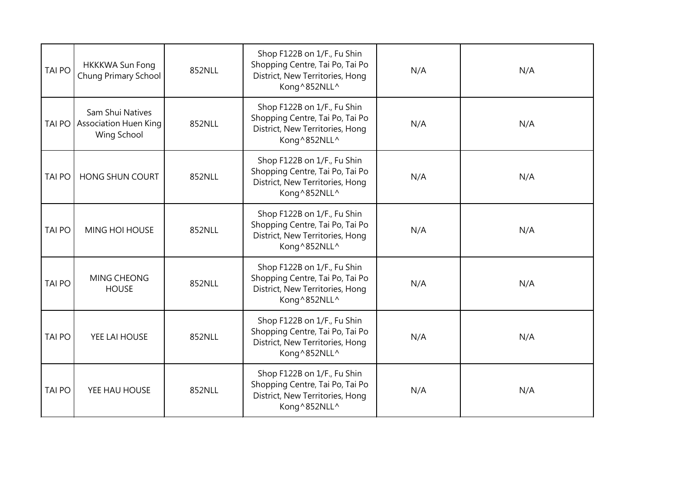| <b>TAI PO</b> | <b>HKKKWA Sun Fong</b><br>Chung Primary School                  | 852NLL | Shop F122B on 1/F., Fu Shin<br>Shopping Centre, Tai Po, Tai Po<br>District, New Territories, Hong<br>Kong^852NLL^ | N/A | N/A |
|---------------|-----------------------------------------------------------------|--------|-------------------------------------------------------------------------------------------------------------------|-----|-----|
| <b>TAI PO</b> | Sam Shui Natives<br><b>Association Huen King</b><br>Wing School | 852NLL | Shop F122B on 1/F., Fu Shin<br>Shopping Centre, Tai Po, Tai Po<br>District, New Territories, Hong<br>Kong^852NLL^ | N/A | N/A |
| <b>TAI PO</b> | HONG SHUN COURT                                                 | 852NLL | Shop F122B on 1/F., Fu Shin<br>Shopping Centre, Tai Po, Tai Po<br>District, New Territories, Hong<br>Kong^852NLL^ | N/A | N/A |
| <b>TAI PO</b> | <b>MING HOI HOUSE</b>                                           | 852NLL | Shop F122B on 1/F., Fu Shin<br>Shopping Centre, Tai Po, Tai Po<br>District, New Territories, Hong<br>Kong^852NLL^ | N/A | N/A |
| <b>TAI PO</b> | MING CHEONG<br><b>HOUSE</b>                                     | 852NLL | Shop F122B on 1/F., Fu Shin<br>Shopping Centre, Tai Po, Tai Po<br>District, New Territories, Hong<br>Kong^852NLL^ | N/A | N/A |
| <b>TAI PO</b> | YEE LAI HOUSE                                                   | 852NLL | Shop F122B on 1/F., Fu Shin<br>Shopping Centre, Tai Po, Tai Po<br>District, New Territories, Hong<br>Kong^852NLL^ | N/A | N/A |
| <b>TAI PO</b> | YEE HAU HOUSE                                                   | 852NLL | Shop F122B on 1/F., Fu Shin<br>Shopping Centre, Tai Po, Tai Po<br>District, New Territories, Hong<br>Kong^852NLL^ | N/A | N/A |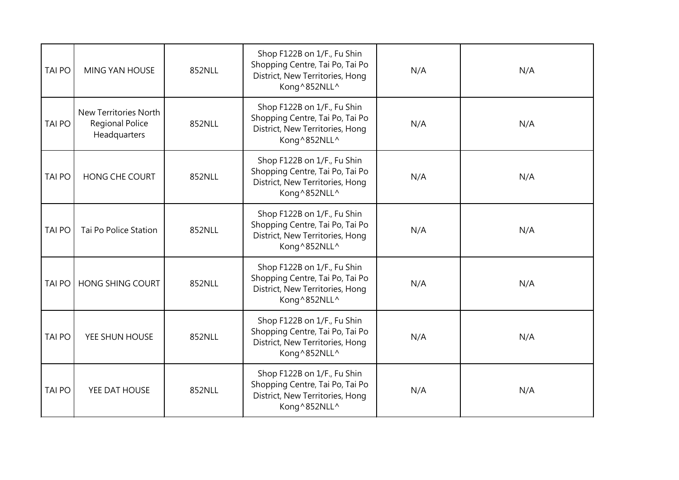| <b>TAI PO</b> | <b>MING YAN HOUSE</b>                                           | 852NLL | Shop F122B on 1/F., Fu Shin<br>Shopping Centre, Tai Po, Tai Po<br>District, New Territories, Hong<br>Kong^852NLL^ | N/A | N/A |
|---------------|-----------------------------------------------------------------|--------|-------------------------------------------------------------------------------------------------------------------|-----|-----|
| <b>TAI PO</b> | New Territories North<br><b>Regional Police</b><br>Headquarters | 852NLL | Shop F122B on 1/F., Fu Shin<br>Shopping Centre, Tai Po, Tai Po<br>District, New Territories, Hong<br>Kong^852NLL^ | N/A | N/A |
| <b>TAI PO</b> | <b>HONG CHE COURT</b>                                           | 852NLL | Shop F122B on 1/F., Fu Shin<br>Shopping Centre, Tai Po, Tai Po<br>District, New Territories, Hong<br>Kong^852NLL^ | N/A | N/A |
| <b>TAI PO</b> | Tai Po Police Station                                           | 852NLL | Shop F122B on 1/F., Fu Shin<br>Shopping Centre, Tai Po, Tai Po<br>District, New Territories, Hong<br>Kong^852NLL^ | N/A | N/A |
| <b>TAI PO</b> | <b>HONG SHING COURT</b>                                         | 852NLL | Shop F122B on 1/F., Fu Shin<br>Shopping Centre, Tai Po, Tai Po<br>District, New Territories, Hong<br>Kong^852NLL^ | N/A | N/A |
| <b>TAI PO</b> | YEE SHUN HOUSE                                                  | 852NLL | Shop F122B on 1/F., Fu Shin<br>Shopping Centre, Tai Po, Tai Po<br>District, New Territories, Hong<br>Kong^852NLL^ | N/A | N/A |
| <b>TAI PO</b> | YEE DAT HOUSE                                                   | 852NLL | Shop F122B on 1/F., Fu Shin<br>Shopping Centre, Tai Po, Tai Po<br>District, New Territories, Hong<br>Kong^852NLL^ | N/A | N/A |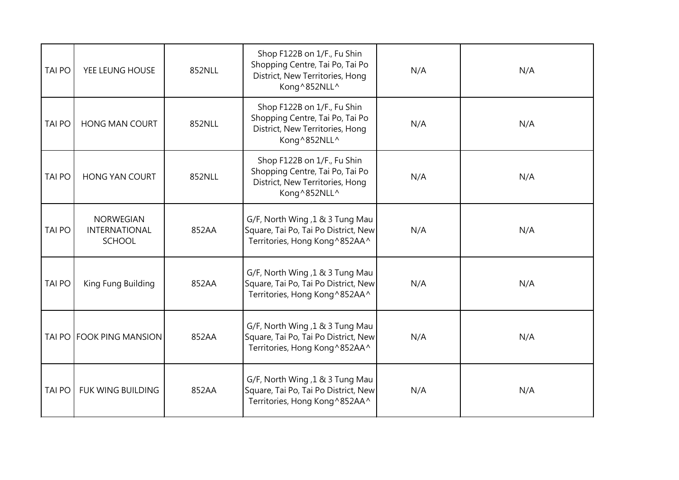| <b>TAI PO</b> | YEE LEUNG HOUSE                                           | 852NLL | Shop F122B on 1/F., Fu Shin<br>Shopping Centre, Tai Po, Tai Po<br>District, New Territories, Hong<br>Kong^852NLL^ | N/A | N/A |
|---------------|-----------------------------------------------------------|--------|-------------------------------------------------------------------------------------------------------------------|-----|-----|
| <b>TAI PO</b> | <b>HONG MAN COURT</b>                                     | 852NLL | Shop F122B on 1/F., Fu Shin<br>Shopping Centre, Tai Po, Tai Po<br>District, New Territories, Hong<br>Kong^852NLL^ | N/A | N/A |
| <b>TAI PO</b> | <b>HONG YAN COURT</b>                                     | 852NLL | Shop F122B on 1/F., Fu Shin<br>Shopping Centre, Tai Po, Tai Po<br>District, New Territories, Hong<br>Kong^852NLL^ | N/A | N/A |
| <b>TAI PO</b> | <b>NORWEGIAN</b><br><b>INTERNATIONAL</b><br><b>SCHOOL</b> | 852AA  | G/F, North Wing, 1 & 3 Tung Mau<br>Square, Tai Po, Tai Po District, New<br>Territories, Hong Kong^852AA^          | N/A | N/A |
| <b>TAI PO</b> | King Fung Building                                        | 852AA  | G/F, North Wing, 1 & 3 Tung Mau<br>Square, Tai Po, Tai Po District, New<br>Territories, Hong Kong^852AA^          | N/A | N/A |
|               | TAI PO FOOK PING MANSION                                  | 852AA  | G/F, North Wing, 1 & 3 Tung Mau<br>Square, Tai Po, Tai Po District, New<br>Territories, Hong Kong^852AA^          | N/A | N/A |
| <b>TAI PO</b> | FUK WING BUILDING                                         | 852AA  | G/F, North Wing, 1 & 3 Tung Mau<br>Square, Tai Po, Tai Po District, New<br>Territories, Hong Kong^852AA^          | N/A | N/A |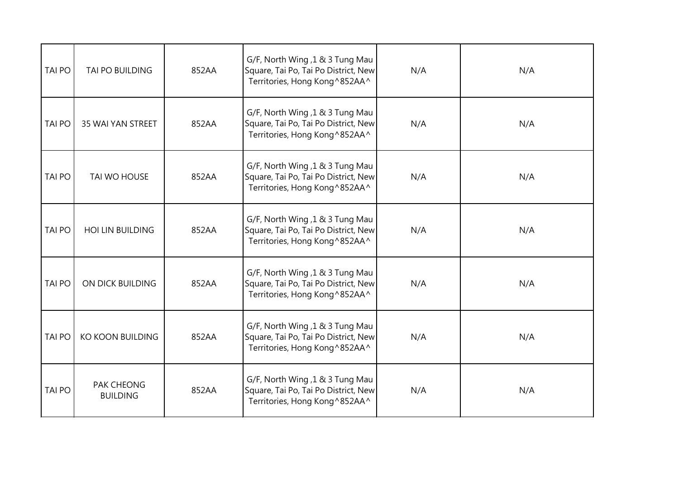| <b>TAI PO</b> | TAI PO BUILDING               | 852AA | G/F, North Wing, 1 & 3 Tung Mau<br>Square, Tai Po, Tai Po District, New<br>Territories, Hong Kong^852AA^ | N/A | N/A |
|---------------|-------------------------------|-------|----------------------------------------------------------------------------------------------------------|-----|-----|
| <b>TAI PO</b> | <b>35 WAI YAN STREET</b>      | 852AA | G/F, North Wing, 1 & 3 Tung Mau<br>Square, Tai Po, Tai Po District, New<br>Territories, Hong Kong^852AA^ | N/A | N/A |
| <b>TAI PO</b> | TAI WO HOUSE                  | 852AA | G/F, North Wing, 1 & 3 Tung Mau<br>Square, Tai Po, Tai Po District, New<br>Territories, Hong Kong^852AA^ | N/A | N/A |
| <b>TAI PO</b> | <b>HOI LIN BUILDING</b>       | 852AA | G/F, North Wing, 1 & 3 Tung Mau<br>Square, Tai Po, Tai Po District, New<br>Territories, Hong Kong^852AA^ | N/A | N/A |
| <b>TAI PO</b> | ON DICK BUILDING              | 852AA | G/F, North Wing, 1 & 3 Tung Mau<br>Square, Tai Po, Tai Po District, New<br>Territories, Hong Kong^852AA^ | N/A | N/A |
| <b>TAI PO</b> | <b>KO KOON BUILDING</b>       | 852AA | G/F, North Wing, 1 & 3 Tung Mau<br>Square, Tai Po, Tai Po District, New<br>Territories, Hong Kong^852AA^ | N/A | N/A |
| <b>TAI PO</b> | PAK CHEONG<br><b>BUILDING</b> | 852AA | G/F, North Wing, 1 & 3 Tung Mau<br>Square, Tai Po, Tai Po District, New<br>Territories, Hong Kong^852AA^ | N/A | N/A |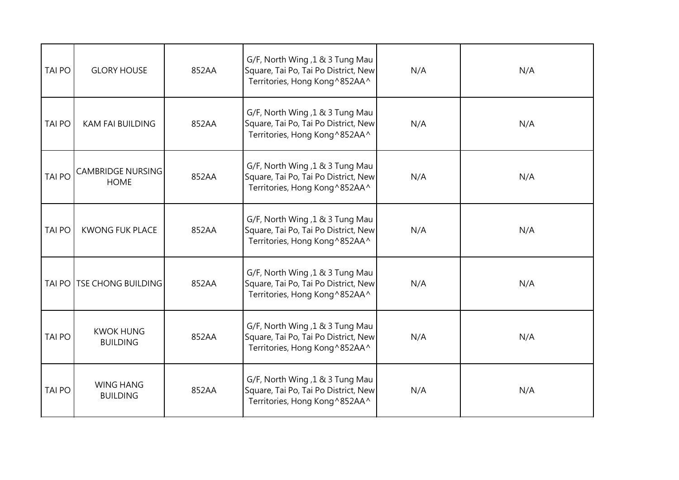| <b>TAI PO</b> | <b>GLORY HOUSE</b>                      | 852AA | G/F, North Wing, 1 & 3 Tung Mau<br>Square, Tai Po, Tai Po District, New<br>Territories, Hong Kong^852AA^  | N/A | N/A |
|---------------|-----------------------------------------|-------|-----------------------------------------------------------------------------------------------------------|-----|-----|
| <b>TAI PO</b> | <b>KAM FAI BUILDING</b>                 | 852AA | G/F, North Wing, 1 & 3 Tung Mau<br>Square, Tai Po, Tai Po District, New<br>Territories, Hong Kong ^852AA^ | N/A | N/A |
| <b>TAI PO</b> | <b>CAMBRIDGE NURSING</b><br><b>HOME</b> | 852AA | G/F, North Wing, 1 & 3 Tung Mau<br>Square, Tai Po, Tai Po District, New<br>Territories, Hong Kong^852AA^  | N/A | N/A |
| <b>TAI PO</b> | <b>KWONG FUK PLACE</b>                  | 852AA | G/F, North Wing, 1 & 3 Tung Mau<br>Square, Tai Po, Tai Po District, New<br>Territories, Hong Kong^852AA^  | N/A | N/A |
| <b>TAI PO</b> | <b>TSE CHONG BUILDING</b>               | 852AA | G/F, North Wing, 1 & 3 Tung Mau<br>Square, Tai Po, Tai Po District, New<br>Territories, Hong Kong^852AA^  | N/A | N/A |
| <b>TAI PO</b> | <b>KWOK HUNG</b><br><b>BUILDING</b>     | 852AA | G/F, North Wing, 1 & 3 Tung Mau<br>Square, Tai Po, Tai Po District, New<br>Territories, Hong Kong^852AA^  | N/A | N/A |
| <b>TAI PO</b> | <b>WING HANG</b><br><b>BUILDING</b>     | 852AA | G/F, North Wing, 1 & 3 Tung Mau<br>Square, Tai Po, Tai Po District, New<br>Territories, Hong Kong ^852AA^ | N/A | N/A |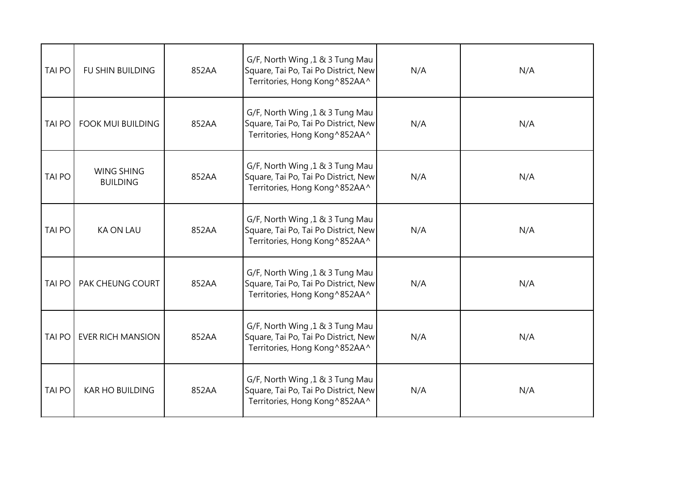| <b>TAI PO</b> | <b>FU SHIN BUILDING</b>              | 852AA | G/F, North Wing, 1 & 3 Tung Mau<br>Square, Tai Po, Tai Po District, New<br>Territories, Hong Kong^852AA^ | N/A | N/A |
|---------------|--------------------------------------|-------|----------------------------------------------------------------------------------------------------------|-----|-----|
| <b>TAI PO</b> | <b>FOOK MUI BUILDING</b>             | 852AA | G/F, North Wing, 1 & 3 Tung Mau<br>Square, Tai Po, Tai Po District, New<br>Territories, Hong Kong^852AA^ | N/A | N/A |
| <b>TAI PO</b> | <b>WING SHING</b><br><b>BUILDING</b> | 852AA | G/F, North Wing, 1 & 3 Tung Mau<br>Square, Tai Po, Tai Po District, New<br>Territories, Hong Kong^852AA^ | N/A | N/A |
| <b>TAI PO</b> | <b>KA ON LAU</b>                     | 852AA | G/F, North Wing, 1 & 3 Tung Mau<br>Square, Tai Po, Tai Po District, New<br>Territories, Hong Kong^852AA^ | N/A | N/A |
| <b>TAI PO</b> | PAK CHEUNG COURT                     | 852AA | G/F, North Wing, 1 & 3 Tung Mau<br>Square, Tai Po, Tai Po District, New<br>Territories, Hong Kong^852AA^ | N/A | N/A |
| <b>TAI PO</b> | <b>EVER RICH MANSION</b>             | 852AA | G/F, North Wing, 1 & 3 Tung Mau<br>Square, Tai Po, Tai Po District, New<br>Territories, Hong Kong^852AA^ | N/A | N/A |
| <b>TAI PO</b> | <b>KAR HO BUILDING</b>               | 852AA | G/F, North Wing, 1 & 3 Tung Mau<br>Square, Tai Po, Tai Po District, New<br>Territories, Hong Kong^852AA^ | N/A | N/A |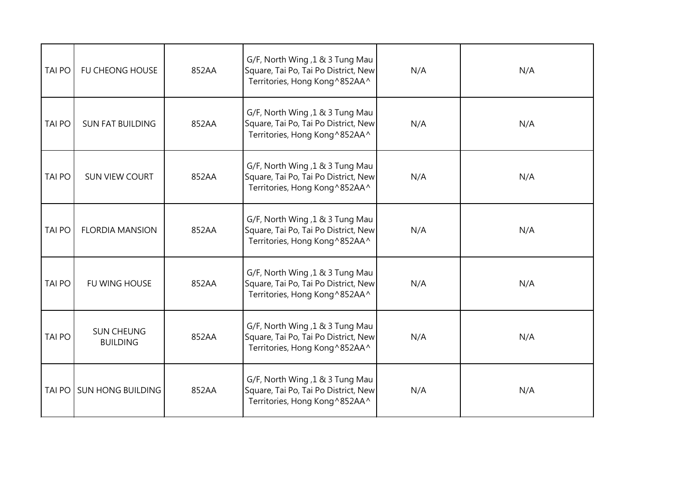| <b>TAI PO</b> | <b>FU CHEONG HOUSE</b>               | 852AA | G/F, North Wing, 1 & 3 Tung Mau<br>Square, Tai Po, Tai Po District, New<br>Territories, Hong Kong^852AA^ | N/A | N/A |
|---------------|--------------------------------------|-------|----------------------------------------------------------------------------------------------------------|-----|-----|
| <b>TAI PO</b> | <b>SUN FAT BUILDING</b>              | 852AA | G/F, North Wing, 1 & 3 Tung Mau<br>Square, Tai Po, Tai Po District, New<br>Territories, Hong Kong^852AA^ | N/A | N/A |
| TAI PO        | <b>SUN VIEW COURT</b>                | 852AA | G/F, North Wing, 1 & 3 Tung Mau<br>Square, Tai Po, Tai Po District, New<br>Territories, Hong Kong^852AA^ | N/A | N/A |
| <b>TAI PO</b> | <b>FLORDIA MANSION</b>               | 852AA | G/F, North Wing, 1 & 3 Tung Mau<br>Square, Tai Po, Tai Po District, New<br>Territories, Hong Kong^852AA^ | N/A | N/A |
| <b>TAI PO</b> | <b>FU WING HOUSE</b>                 | 852AA | G/F, North Wing, 1 & 3 Tung Mau<br>Square, Tai Po, Tai Po District, New<br>Territories, Hong Kong^852AA^ | N/A | N/A |
| <b>TAI PO</b> | <b>SUN CHEUNG</b><br><b>BUILDING</b> | 852AA | G/F, North Wing, 1 & 3 Tung Mau<br>Square, Tai Po, Tai Po District, New<br>Territories, Hong Kong^852AA^ | N/A | N/A |
| <b>TAI PO</b> | <b>SUN HONG BUILDING</b>             | 852AA | G/F, North Wing, 1 & 3 Tung Mau<br>Square, Tai Po, Tai Po District, New<br>Territories, Hong Kong^852AA^ | N/A | N/A |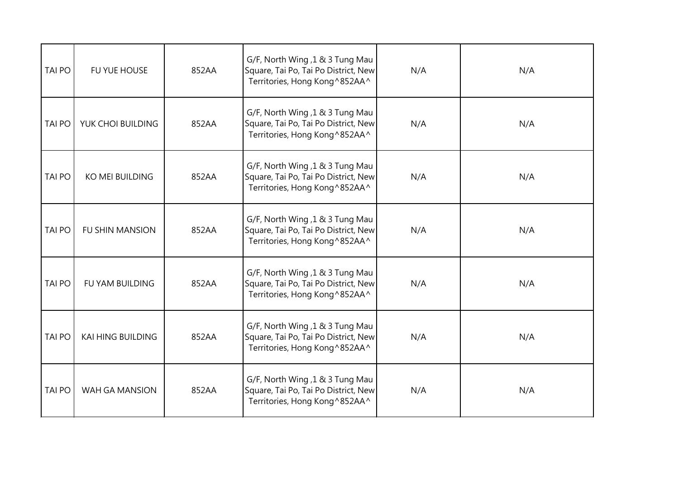| <b>TAI PO</b> | FU YUE HOUSE             | 852AA | G/F, North Wing, 1 & 3 Tung Mau<br>Square, Tai Po, Tai Po District, New<br>Territories, Hong Kong^852AA^ | N/A | N/A |
|---------------|--------------------------|-------|----------------------------------------------------------------------------------------------------------|-----|-----|
| <b>TAI PO</b> | YUK CHOI BUILDING        | 852AA | G/F, North Wing, 1 & 3 Tung Mau<br>Square, Tai Po, Tai Po District, New<br>Territories, Hong Kong^852AA^ | N/A | N/A |
| <b>TAI PO</b> | <b>KO MEI BUILDING</b>   | 852AA | G/F, North Wing, 1 & 3 Tung Mau<br>Square, Tai Po, Tai Po District, New<br>Territories, Hong Kong^852AA^ | N/A | N/A |
| <b>TAI PO</b> | <b>FU SHIN MANSION</b>   | 852AA | G/F, North Wing, 1 & 3 Tung Mau<br>Square, Tai Po, Tai Po District, New<br>Territories, Hong Kong^852AA^ | N/A | N/A |
| <b>TAI PO</b> | <b>FU YAM BUILDING</b>   | 852AA | G/F, North Wing, 1 & 3 Tung Mau<br>Square, Tai Po, Tai Po District, New<br>Territories, Hong Kong^852AA^ | N/A | N/A |
| <b>TAI PO</b> | <b>KAI HING BUILDING</b> | 852AA | G/F, North Wing, 1 & 3 Tung Mau<br>Square, Tai Po, Tai Po District, New<br>Territories, Hong Kong^852AA^ | N/A | N/A |
| <b>TAI PO</b> | WAH GA MANSION           | 852AA | G/F, North Wing, 1 & 3 Tung Mau<br>Square, Tai Po, Tai Po District, New<br>Territories, Hong Kong^852AA^ | N/A | N/A |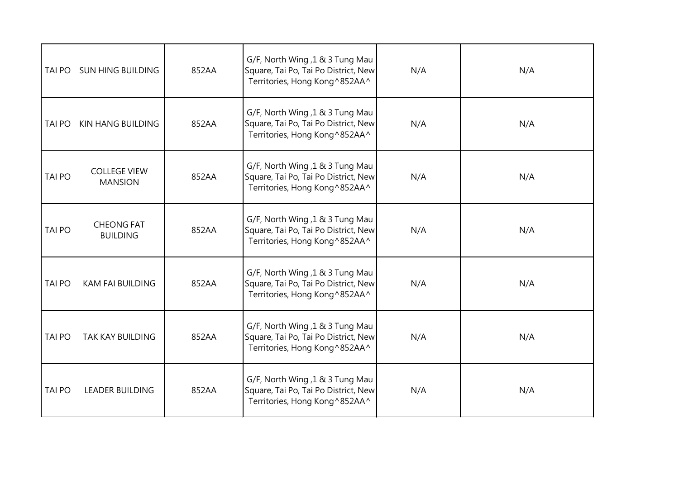| <b>TAI PO</b> | <b>SUN HING BUILDING</b>              | 852AA | G/F, North Wing, 1 & 3 Tung Mau<br>Square, Tai Po, Tai Po District, New<br>Territories, Hong Kong^852AA^ | N/A | N/A |
|---------------|---------------------------------------|-------|----------------------------------------------------------------------------------------------------------|-----|-----|
| <b>TAI PO</b> | KIN HANG BUILDING                     | 852AA | G/F, North Wing, 1 & 3 Tung Mau<br>Square, Tai Po, Tai Po District, New<br>Territories, Hong Kong^852AA^ | N/A | N/A |
| <b>TAI PO</b> | <b>COLLEGE VIEW</b><br><b>MANSION</b> | 852AA | G/F, North Wing, 1 & 3 Tung Mau<br>Square, Tai Po, Tai Po District, New<br>Territories, Hong Kong^852AA^ | N/A | N/A |
| <b>TAI PO</b> | <b>CHEONG FAT</b><br><b>BUILDING</b>  | 852AA | G/F, North Wing, 1 & 3 Tung Mau<br>Square, Tai Po, Tai Po District, New<br>Territories, Hong Kong^852AA^ | N/A | N/A |
| <b>TAI PO</b> | <b>KAM FAI BUILDING</b>               | 852AA | G/F, North Wing ,1 & 3 Tung Mau<br>Square, Tai Po, Tai Po District, New<br>Territories, Hong Kong^852AA^ | N/A | N/A |
| <b>TAI PO</b> | <b>TAK KAY BUILDING</b>               | 852AA | G/F, North Wing, 1 & 3 Tung Mau<br>Square, Tai Po, Tai Po District, New<br>Territories, Hong Kong^852AA^ | N/A | N/A |
| <b>TAI PO</b> | <b>LEADER BUILDING</b>                | 852AA | G/F, North Wing, 1 & 3 Tung Mau<br>Square, Tai Po, Tai Po District, New<br>Territories, Hong Kong^852AA^ | N/A | N/A |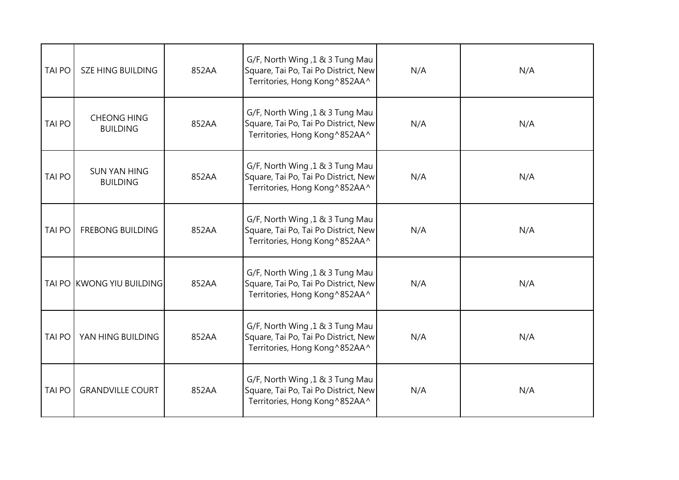| <b>TAI PO</b> | <b>SZE HING BUILDING</b>               | 852AA | G/F, North Wing, 1 & 3 Tung Mau<br>Square, Tai Po, Tai Po District, New<br>Territories, Hong Kong^852AA^ | N/A | N/A |
|---------------|----------------------------------------|-------|----------------------------------------------------------------------------------------------------------|-----|-----|
| <b>TAI PO</b> | <b>CHEONG HING</b><br><b>BUILDING</b>  | 852AA | G/F, North Wing, 1 & 3 Tung Mau<br>Square, Tai Po, Tai Po District, New<br>Territories, Hong Kong^852AA^ | N/A | N/A |
| <b>TAI PO</b> | <b>SUN YAN HING</b><br><b>BUILDING</b> | 852AA | G/F, North Wing, 1 & 3 Tung Mau<br>Square, Tai Po, Tai Po District, New<br>Territories, Hong Kong^852AA^ | N/A | N/A |
| <b>TAI PO</b> | <b>FREBONG BUILDING</b>                | 852AA | G/F, North Wing, 1 & 3 Tung Mau<br>Square, Tai Po, Tai Po District, New<br>Territories, Hong Kong^852AA^ | N/A | N/A |
|               | TAI PO KWONG YIU BUILDING              | 852AA | G/F, North Wing ,1 & 3 Tung Mau<br>Square, Tai Po, Tai Po District, New<br>Territories, Hong Kong^852AA^ | N/A | N/A |
| <b>TAI PO</b> | YAN HING BUILDING                      | 852AA | G/F, North Wing, 1 & 3 Tung Mau<br>Square, Tai Po, Tai Po District, New<br>Territories, Hong Kong^852AA^ | N/A | N/A |
| <b>TAI PO</b> | <b>GRANDVILLE COURT</b>                | 852AA | G/F, North Wing, 1 & 3 Tung Mau<br>Square, Tai Po, Tai Po District, New<br>Territories, Hong Kong^852AA^ | N/A | N/A |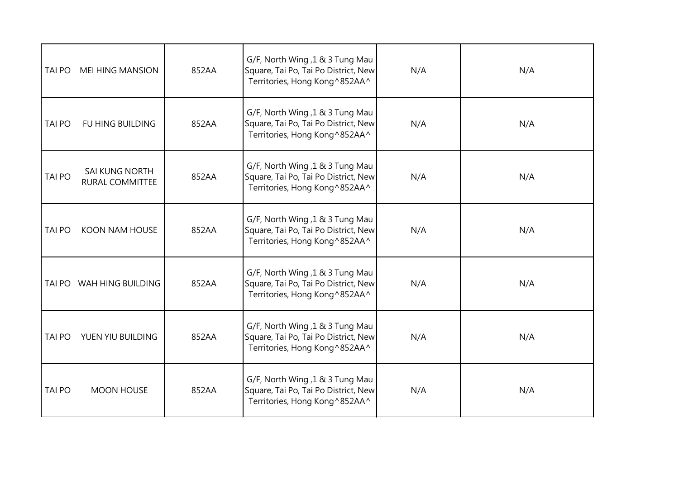| <b>TAI PO</b> | <b>MEI HING MANSION</b>                  | 852AA | G/F, North Wing, 1 & 3 Tung Mau<br>Square, Tai Po, Tai Po District, New<br>Territories, Hong Kong^852AA^ | N/A | N/A |
|---------------|------------------------------------------|-------|----------------------------------------------------------------------------------------------------------|-----|-----|
| <b>TAI PO</b> | FU HING BUILDING                         | 852AA | G/F, North Wing, 1 & 3 Tung Mau<br>Square, Tai Po, Tai Po District, New<br>Territories, Hong Kong^852AA^ | N/A | N/A |
| <b>TAI PO</b> | <b>SAI KUNG NORTH</b><br>RURAL COMMITTEE | 852AA | G/F, North Wing, 1 & 3 Tung Mau<br>Square, Tai Po, Tai Po District, New<br>Territories, Hong Kong^852AA^ | N/A | N/A |
| <b>TAI PO</b> | <b>KOON NAM HOUSE</b>                    | 852AA | G/F, North Wing, 1 & 3 Tung Mau<br>Square, Tai Po, Tai Po District, New<br>Territories, Hong Kong^852AA^ | N/A | N/A |
| <b>TAI PO</b> | WAH HING BUILDING                        | 852AA | G/F, North Wing ,1 & 3 Tung Mau<br>Square, Tai Po, Tai Po District, New<br>Territories, Hong Kong^852AA^ | N/A | N/A |
| <b>TAI PO</b> | YUEN YIU BUILDING                        | 852AA | G/F, North Wing, 1 & 3 Tung Mau<br>Square, Tai Po, Tai Po District, New<br>Territories, Hong Kong^852AA^ | N/A | N/A |
| <b>TAI PO</b> | <b>MOON HOUSE</b>                        | 852AA | G/F, North Wing, 1 & 3 Tung Mau<br>Square, Tai Po, Tai Po District, New<br>Territories, Hong Kong^852AA^ | N/A | N/A |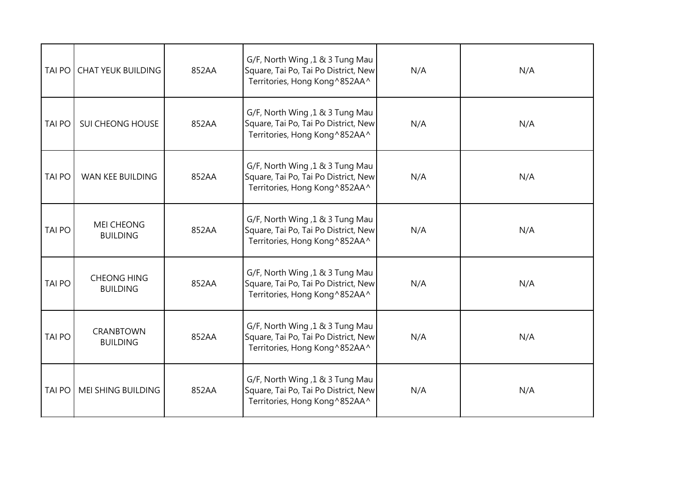| TAI PO        | <b>CHAT YEUK BUILDING</b>             | 852AA | G/F, North Wing, 1 & 3 Tung Mau<br>Square, Tai Po, Tai Po District, New<br>Territories, Hong Kong^852AA^ | N/A | N/A |
|---------------|---------------------------------------|-------|----------------------------------------------------------------------------------------------------------|-----|-----|
| <b>TAI PO</b> | <b>SUI CHEONG HOUSE</b>               | 852AA | G/F, North Wing, 1 & 3 Tung Mau<br>Square, Tai Po, Tai Po District, New<br>Territories, Hong Kong^852AA^ | N/A | N/A |
| <b>TAI PO</b> | <b>WAN KEE BUILDING</b>               | 852AA | G/F, North Wing, 1 & 3 Tung Mau<br>Square, Tai Po, Tai Po District, New<br>Territories, Hong Kong^852AA^ | N/A | N/A |
| <b>TAI PO</b> | <b>MEI CHEONG</b><br><b>BUILDING</b>  | 852AA | G/F, North Wing, 1 & 3 Tung Mau<br>Square, Tai Po, Tai Po District, New<br>Territories, Hong Kong^852AA^ | N/A | N/A |
| TAI PO        | <b>CHEONG HING</b><br><b>BUILDING</b> | 852AA | G/F, North Wing, 1 & 3 Tung Mau<br>Square, Tai Po, Tai Po District, New<br>Territories, Hong Kong^852AA^ | N/A | N/A |
| <b>TAI PO</b> | <b>CRANBTOWN</b><br><b>BUILDING</b>   | 852AA | G/F, North Wing, 1 & 3 Tung Mau<br>Square, Tai Po, Tai Po District, New<br>Territories, Hong Kong^852AA^ | N/A | N/A |
| <b>TAI PO</b> | MEI SHING BUILDING                    | 852AA | G/F, North Wing, 1 & 3 Tung Mau<br>Square, Tai Po, Tai Po District, New<br>Territories, Hong Kong^852AA^ | N/A | N/A |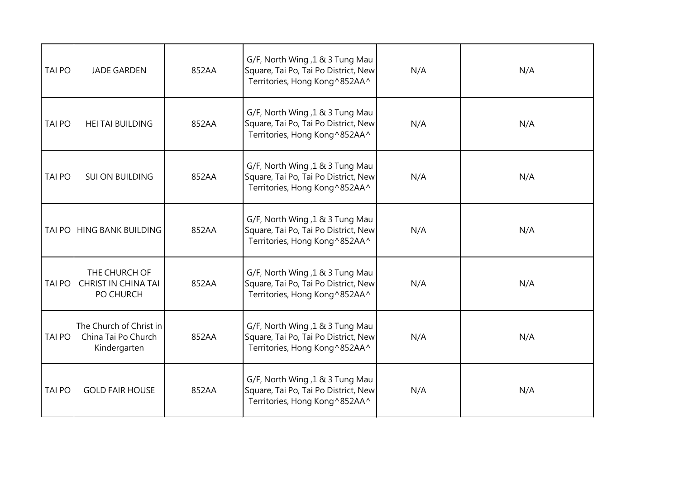| <b>TAI PO</b> | <b>JADE GARDEN</b>                                             | 852AA | G/F, North Wing, 1 & 3 Tung Mau<br>Square, Tai Po, Tai Po District, New<br>Territories, Hong Kong^852AA^ | N/A | N/A |
|---------------|----------------------------------------------------------------|-------|----------------------------------------------------------------------------------------------------------|-----|-----|
| <b>TAI PO</b> | <b>HEI TAI BUILDING</b>                                        | 852AA | G/F, North Wing, 1 & 3 Tung Mau<br>Square, Tai Po, Tai Po District, New<br>Territories, Hong Kong^852AA^ | N/A | N/A |
| <b>TAI PO</b> | <b>SUI ON BUILDING</b>                                         | 852AA | G/F, North Wing, 1 & 3 Tung Mau<br>Square, Tai Po, Tai Po District, New<br>Territories, Hong Kong^852AA^ | N/A | N/A |
| TAI PO        | <b>HING BANK BUILDING</b>                                      | 852AA | G/F, North Wing, 1 & 3 Tung Mau<br>Square, Tai Po, Tai Po District, New<br>Territories, Hong Kong^852AA^ | N/A | N/A |
| <b>TAI PO</b> | THE CHURCH OF<br><b>CHRIST IN CHINA TAI</b><br>PO CHURCH       | 852AA | G/F, North Wing, 1 & 3 Tung Mau<br>Square, Tai Po, Tai Po District, New<br>Territories, Hong Kong^852AA^ | N/A | N/A |
| <b>TAI PO</b> | The Church of Christ in<br>China Tai Po Church<br>Kindergarten | 852AA | G/F, North Wing, 1 & 3 Tung Mau<br>Square, Tai Po, Tai Po District, New<br>Territories, Hong Kong^852AA^ | N/A | N/A |
| <b>TAI PO</b> | <b>GOLD FAIR HOUSE</b>                                         | 852AA | G/F, North Wing, 1 & 3 Tung Mau<br>Square, Tai Po, Tai Po District, New<br>Territories, Hong Kong^852AA^ | N/A | N/A |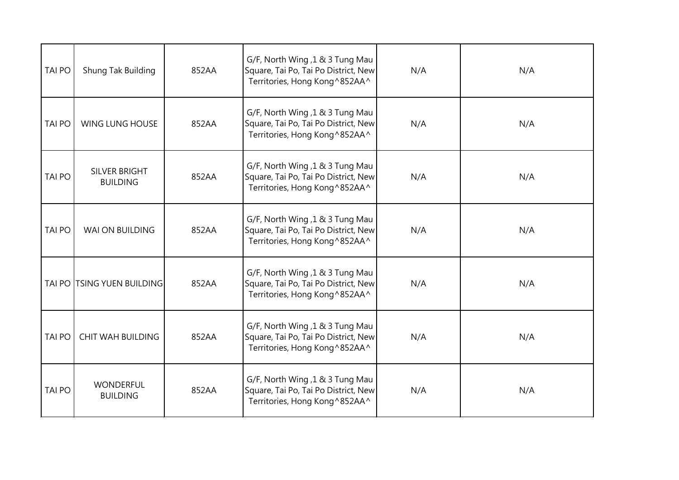| <b>TAI PO</b> | Shung Tak Building                  | 852AA | G/F, North Wing, 1 & 3 Tung Mau<br>Square, Tai Po, Tai Po District, New<br>Territories, Hong Kong^852AA^  | N/A | N/A |
|---------------|-------------------------------------|-------|-----------------------------------------------------------------------------------------------------------|-----|-----|
| <b>TAI PO</b> | <b>WING LUNG HOUSE</b>              | 852AA | G/F, North Wing, 1 & 3 Tung Mau<br>Square, Tai Po, Tai Po District, New<br>Territories, Hong Kong^852AA^  | N/A | N/A |
| <b>TAI PO</b> | SILVER BRIGHT<br><b>BUILDING</b>    | 852AA | G/F, North Wing, 1 & 3 Tung Mau<br>Square, Tai Po, Tai Po District, New<br>Territories, Hong Kong^852AA^  | N/A | N/A |
| <b>TAI PO</b> | WAI ON BUILDING                     | 852AA | G/F, North Wing, 1 & 3 Tung Mau<br>Square, Tai Po, Tai Po District, New<br>Territories, Hong Kong^852AA^  | N/A | N/A |
| <b>TAI PO</b> | <b>TSING YUEN BUILDING</b>          | 852AA | G/F, North Wing, 1 & 3 Tung Mau<br>Square, Tai Po, Tai Po District, New<br>Territories, Hong Kong^852AA^  | N/A | N/A |
| <b>TAI PO</b> | <b>CHIT WAH BUILDING</b>            | 852AA | G/F, North Wing, 1 & 3 Tung Mau<br>Square, Tai Po, Tai Po District, New<br>Territories, Hong Kong^852AA^  | N/A | N/A |
| <b>TAI PO</b> | <b>WONDERFUL</b><br><b>BUILDING</b> | 852AA | G/F, North Wing, 1 & 3 Tung Mau<br>Square, Tai Po, Tai Po District, New<br>Territories, Hong Kong ^852AA^ | N/A | N/A |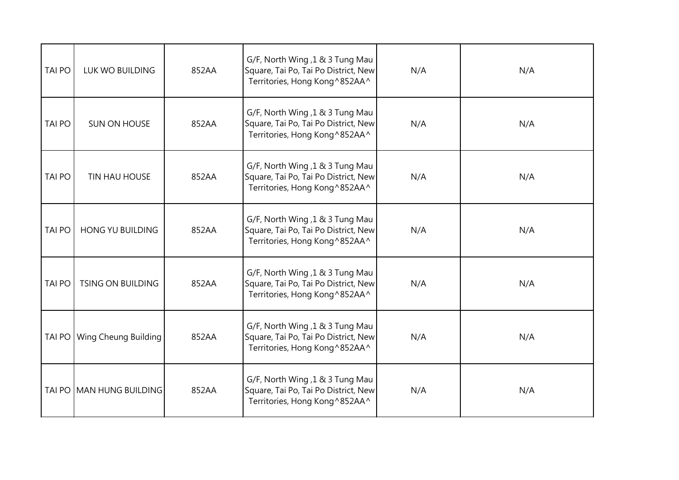| <b>TAI PO</b> | LUK WO BUILDING          | 852AA | G/F, North Wing, 1 & 3 Tung Mau<br>Square, Tai Po, Tai Po District, New<br>Territories, Hong Kong^852AA^ | N/A | N/A |
|---------------|--------------------------|-------|----------------------------------------------------------------------------------------------------------|-----|-----|
| <b>TAI PO</b> | <b>SUN ON HOUSE</b>      | 852AA | G/F, North Wing, 1 & 3 Tung Mau<br>Square, Tai Po, Tai Po District, New<br>Territories, Hong Kong^852AA^ | N/A | N/A |
| <b>TAI PO</b> | TIN HAU HOUSE            | 852AA | G/F, North Wing, 1 & 3 Tung Mau<br>Square, Tai Po, Tai Po District, New<br>Territories, Hong Kong^852AA^ | N/A | N/A |
| <b>TAI PO</b> | <b>HONG YU BUILDING</b>  | 852AA | G/F, North Wing, 1 & 3 Tung Mau<br>Square, Tai Po, Tai Po District, New<br>Territories, Hong Kong^852AA^ | N/A | N/A |
| <b>TAI PO</b> | <b>TSING ON BUILDING</b> | 852AA | G/F, North Wing, 1 & 3 Tung Mau<br>Square, Tai Po, Tai Po District, New<br>Territories, Hong Kong^852AA^ | N/A | N/A |
| <b>TAI PO</b> | Wing Cheung Building     | 852AA | G/F, North Wing, 1 & 3 Tung Mau<br>Square, Tai Po, Tai Po District, New<br>Territories, Hong Kong^852AA^ | N/A | N/A |
| <b>TAI PO</b> | <b>MAN HUNG BUILDING</b> | 852AA | G/F, North Wing, 1 & 3 Tung Mau<br>Square, Tai Po, Tai Po District, New<br>Territories, Hong Kong^852AA^ | N/A | N/A |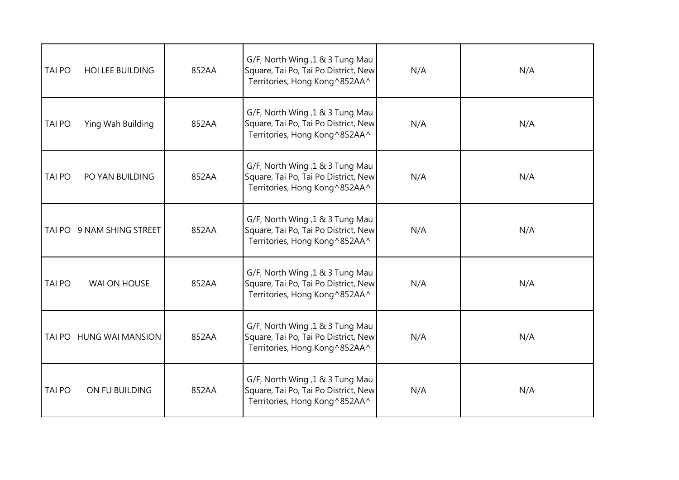| <b>TAI PO</b> | <b>HOI LEE BUILDING</b> | 852AA | G/F, North Wing, 1 & 3 Tung Mau<br>Square, Tai Po, Tai Po District, New<br>Territories, Hong Kong^852AA^  | N/A | N/A |
|---------------|-------------------------|-------|-----------------------------------------------------------------------------------------------------------|-----|-----|
| <b>TAI PO</b> | Ying Wah Building       | 852AA | G/F, North Wing, 1 & 3 Tung Mau<br>Square, Tai Po, Tai Po District, New<br>Territories, Hong Kong ^852AA^ | N/A | N/A |
| <b>TAI PO</b> | PO YAN BUILDING         | 852AA | G/F, North Wing, 1 & 3 Tung Mau<br>Square, Tai Po, Tai Po District, New<br>Territories, Hong Kong^852AA^  | N/A | N/A |
| <b>TAI PO</b> | 9 NAM SHING STREET      | 852AA | G/F, North Wing, 1 & 3 Tung Mau<br>Square, Tai Po, Tai Po District, New<br>Territories, Hong Kong^852AA^  | N/A | N/A |
| <b>TAI PO</b> | WAI ON HOUSE            | 852AA | G/F, North Wing, 1 & 3 Tung Mau<br>Square, Tai Po, Tai Po District, New<br>Territories, Hong Kong^852AA^  | N/A | N/A |
| <b>TAI PO</b> | <b>HUNG WAI MANSION</b> | 852AA | G/F, North Wing, 1 & 3 Tung Mau<br>Square, Tai Po, Tai Po District, New<br>Territories, Hong Kong^852AA^  | N/A | N/A |
| <b>TAI PO</b> | ON FU BUILDING          | 852AA | G/F, North Wing, 1 & 3 Tung Mau<br>Square, Tai Po, Tai Po District, New<br>Territories, Hong Kong^852AA^  | N/A | N/A |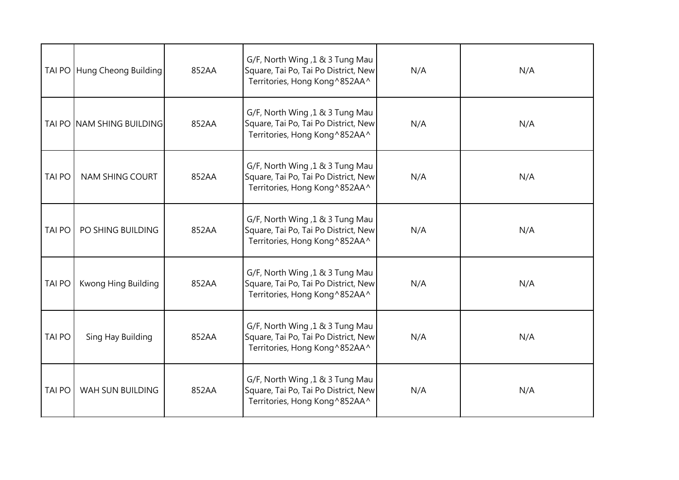| <b>TAI PO</b> | Hung Cheong Building      | 852AA | G/F, North Wing, 1 & 3 Tung Mau<br>Square, Tai Po, Tai Po District, New<br>Territories, Hong Kong^852AA^  | N/A | N/A |
|---------------|---------------------------|-------|-----------------------------------------------------------------------------------------------------------|-----|-----|
| TAI PO        | <b>NAM SHING BUILDING</b> | 852AA | G/F, North Wing, 1 & 3 Tung Mau<br>Square, Tai Po, Tai Po District, New<br>Territories, Hong Kong ^852AA^ | N/A | N/A |
| <b>TAI PO</b> | <b>NAM SHING COURT</b>    | 852AA | G/F, North Wing, 1 & 3 Tung Mau<br>Square, Tai Po, Tai Po District, New<br>Territories, Hong Kong^852AA^  | N/A | N/A |
| <b>TAI PO</b> | PO SHING BUILDING         | 852AA | G/F, North Wing, 1 & 3 Tung Mau<br>Square, Tai Po, Tai Po District, New<br>Territories, Hong Kong^852AA^  | N/A | N/A |
| <b>TAI PO</b> | Kwong Hing Building       | 852AA | G/F, North Wing, 1 & 3 Tung Mau<br>Square, Tai Po, Tai Po District, New<br>Territories, Hong Kong ^852AA^ | N/A | N/A |
| <b>TAI PO</b> | Sing Hay Building         | 852AA | G/F, North Wing, 1 & 3 Tung Mau<br>Square, Tai Po, Tai Po District, New<br>Territories, Hong Kong^852AA^  | N/A | N/A |
| <b>TAI PO</b> | WAH SUN BUILDING          | 852AA | G/F, North Wing, 1 & 3 Tung Mau<br>Square, Tai Po, Tai Po District, New<br>Territories, Hong Kong^852AA^  | N/A | N/A |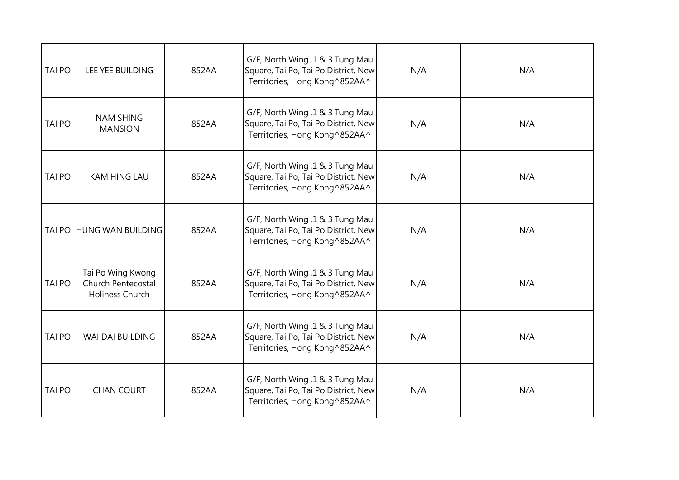| <b>TAI PO</b> | LEE YEE BUILDING                                           | 852AA | G/F, North Wing, 1 & 3 Tung Mau<br>Square, Tai Po, Tai Po District, New<br>Territories, Hong Kong^852AA^ | N/A | N/A |
|---------------|------------------------------------------------------------|-------|----------------------------------------------------------------------------------------------------------|-----|-----|
| <b>TAI PO</b> | <b>NAM SHING</b><br><b>MANSION</b>                         | 852AA | G/F, North Wing, 1 & 3 Tung Mau<br>Square, Tai Po, Tai Po District, New<br>Territories, Hong Kong^852AA^ | N/A | N/A |
| <b>TAI PO</b> | <b>KAM HING LAU</b>                                        | 852AA | G/F, North Wing, 1 & 3 Tung Mau<br>Square, Tai Po, Tai Po District, New<br>Territories, Hong Kong^852AA^ | N/A | N/A |
|               | TAI PO HUNG WAN BUILDING                                   | 852AA | G/F, North Wing, 1 & 3 Tung Mau<br>Square, Tai Po, Tai Po District, New<br>Territories, Hong Kong^852AA^ | N/A | N/A |
| <b>TAI PO</b> | Tai Po Wing Kwong<br>Church Pentecostal<br>Holiness Church | 852AA | G/F, North Wing ,1 & 3 Tung Mau<br>Square, Tai Po, Tai Po District, New<br>Territories, Hong Kong^852AA^ | N/A | N/A |
| <b>TAI PO</b> | WAI DAI BUILDING                                           | 852AA | G/F, North Wing, 1 & 3 Tung Mau<br>Square, Tai Po, Tai Po District, New<br>Territories, Hong Kong^852AA^ | N/A | N/A |
| <b>TAI PO</b> | <b>CHAN COURT</b>                                          | 852AA | G/F, North Wing, 1 & 3 Tung Mau<br>Square, Tai Po, Tai Po District, New<br>Territories, Hong Kong^852AA^ | N/A | N/A |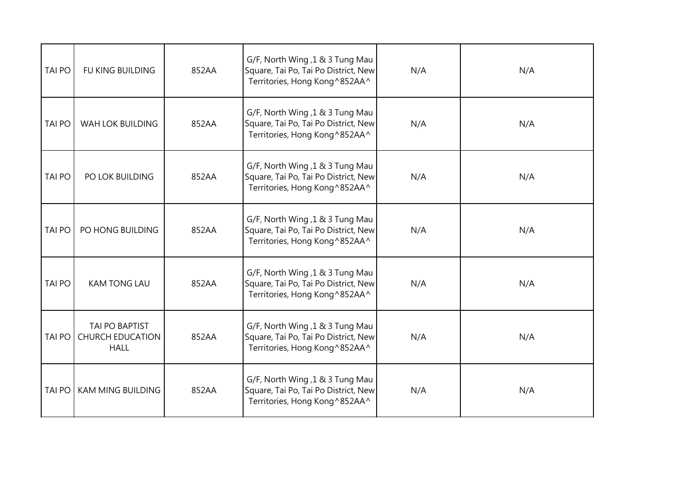| <b>TAI PO</b> | FU KING BUILDING                                         | 852AA | G/F, North Wing, 1 & 3 Tung Mau<br>Square, Tai Po, Tai Po District, New<br>Territories, Hong Kong^852AA^ | N/A | N/A |
|---------------|----------------------------------------------------------|-------|----------------------------------------------------------------------------------------------------------|-----|-----|
| <b>TAI PO</b> | <b>WAH LOK BUILDING</b>                                  | 852AA | G/F, North Wing, 1 & 3 Tung Mau<br>Square, Tai Po, Tai Po District, New<br>Territories, Hong Kong^852AA^ | N/A | N/A |
| <b>TAI PO</b> | PO LOK BUILDING                                          | 852AA | G/F, North Wing, 1 & 3 Tung Mau<br>Square, Tai Po, Tai Po District, New<br>Territories, Hong Kong^852AA^ | N/A | N/A |
| <b>TAI PO</b> | PO HONG BUILDING                                         | 852AA | G/F, North Wing, 1 & 3 Tung Mau<br>Square, Tai Po, Tai Po District, New<br>Territories, Hong Kong^852AA^ | N/A | N/A |
| <b>TAI PO</b> | <b>KAM TONG LAU</b>                                      | 852AA | G/F, North Wing, 1 & 3 Tung Mau<br>Square, Tai Po, Tai Po District, New<br>Territories, Hong Kong^852AA^ | N/A | N/A |
| <b>TAI PO</b> | TAI PO BAPTIST<br><b>CHURCH EDUCATION</b><br><b>HALL</b> | 852AA | G/F, North Wing, 1 & 3 Tung Mau<br>Square, Tai Po, Tai Po District, New<br>Territories, Hong Kong^852AA^ | N/A | N/A |
| <b>TAI PO</b> | <b>KAM MING BUILDING</b>                                 | 852AA | G/F, North Wing, 1 & 3 Tung Mau<br>Square, Tai Po, Tai Po District, New<br>Territories, Hong Kong^852AA^ | N/A | N/A |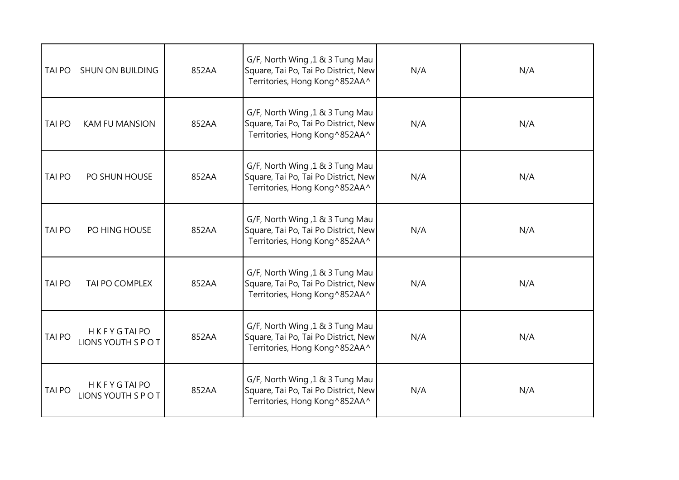| <b>TAI PO</b> | <b>SHUN ON BUILDING</b>                  | 852AA | G/F, North Wing, 1 & 3 Tung Mau<br>Square, Tai Po, Tai Po District, New<br>Territories, Hong Kong^852AA^ | N/A | N/A |
|---------------|------------------------------------------|-------|----------------------------------------------------------------------------------------------------------|-----|-----|
| <b>TAI PO</b> | <b>KAM FU MANSION</b>                    | 852AA | G/F, North Wing, 1 & 3 Tung Mau<br>Square, Tai Po, Tai Po District, New<br>Territories, Hong Kong^852AA^ | N/A | N/A |
| TAI PO        | PO SHUN HOUSE                            | 852AA | G/F, North Wing, 1 & 3 Tung Mau<br>Square, Tai Po, Tai Po District, New<br>Territories, Hong Kong^852AA^ | N/A | N/A |
| <b>TAI PO</b> | PO HING HOUSE                            | 852AA | G/F, North Wing, 1 & 3 Tung Mau<br>Square, Tai Po, Tai Po District, New<br>Territories, Hong Kong^852AA^ | N/A | N/A |
| <b>TAI PO</b> | TAI PO COMPLEX                           | 852AA | G/F, North Wing, 1 & 3 Tung Mau<br>Square, Tai Po, Tai Po District, New<br>Territories, Hong Kong^852AA^ | N/A | N/A |
| <b>TAI PO</b> | <b>HKFYGTAIPO</b><br>LIONS YOUTH S P O T | 852AA | G/F, North Wing, 1 & 3 Tung Mau<br>Square, Tai Po, Tai Po District, New<br>Territories, Hong Kong^852AA^ | N/A | N/A |
| <b>TAI PO</b> | <b>HKFYGTAIPO</b><br>LIONS YOUTH S P O T | 852AA | G/F, North Wing, 1 & 3 Tung Mau<br>Square, Tai Po, Tai Po District, New<br>Territories, Hong Kong^852AA^ | N/A | N/A |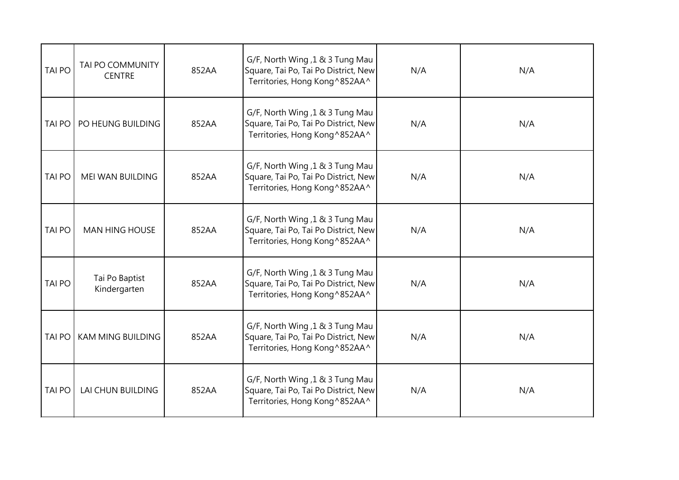| <b>TAI PO</b> | TAI PO COMMUNITY<br><b>CENTRE</b> | 852AA | G/F, North Wing, 1 & 3 Tung Mau<br>Square, Tai Po, Tai Po District, New<br>Territories, Hong Kong^852AA^  | N/A | N/A |
|---------------|-----------------------------------|-------|-----------------------------------------------------------------------------------------------------------|-----|-----|
| <b>TAI PO</b> | PO HEUNG BUILDING                 | 852AA | G/F, North Wing, 1 & 3 Tung Mau<br>Square, Tai Po, Tai Po District, New<br>Territories, Hong Kong ^852AA^ | N/A | N/A |
| <b>TAI PO</b> | MEI WAN BUILDING                  | 852AA | G/F, North Wing, 1 & 3 Tung Mau<br>Square, Tai Po, Tai Po District, New<br>Territories, Hong Kong^852AA^  | N/A | N/A |
| <b>TAI PO</b> | <b>MAN HING HOUSE</b>             | 852AA | G/F, North Wing, 1 & 3 Tung Mau<br>Square, Tai Po, Tai Po District, New<br>Territories, Hong Kong^852AA^  | N/A | N/A |
| <b>TAI PO</b> | Tai Po Baptist<br>Kindergarten    | 852AA | G/F, North Wing, 1 & 3 Tung Mau<br>Square, Tai Po, Tai Po District, New<br>Territories, Hong Kong ^852AA^ | N/A | N/A |
| <b>TAI PO</b> | KAM MING BUILDING                 | 852AA | G/F, North Wing, 1 & 3 Tung Mau<br>Square, Tai Po, Tai Po District, New<br>Territories, Hong Kong^852AA^  | N/A | N/A |
| <b>TAI PO</b> | LAI CHUN BUILDING                 | 852AA | G/F, North Wing, 1 & 3 Tung Mau<br>Square, Tai Po, Tai Po District, New<br>Territories, Hong Kong ^852AA^ | N/A | N/A |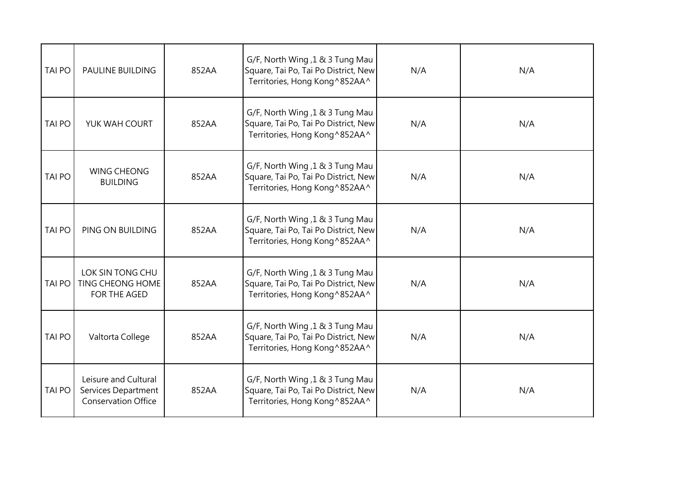| <b>TAI PO</b> | <b>PAULINE BUILDING</b>                                                   | 852AA | G/F, North Wing, 1 & 3 Tung Mau<br>Square, Tai Po, Tai Po District, New<br>Territories, Hong Kong^852AA^ | N/A | N/A |
|---------------|---------------------------------------------------------------------------|-------|----------------------------------------------------------------------------------------------------------|-----|-----|
| <b>TAI PO</b> | YUK WAH COURT                                                             | 852AA | G/F, North Wing, 1 & 3 Tung Mau<br>Square, Tai Po, Tai Po District, New<br>Territories, Hong Kong^852AA^ | N/A | N/A |
| <b>TAI PO</b> | <b>WING CHEONG</b><br><b>BUILDING</b>                                     | 852AA | G/F, North Wing, 1 & 3 Tung Mau<br>Square, Tai Po, Tai Po District, New<br>Territories, Hong Kong^852AA^ | N/A | N/A |
| <b>TAI PO</b> | PING ON BUILDING                                                          | 852AA | G/F, North Wing, 1 & 3 Tung Mau<br>Square, Tai Po, Tai Po District, New<br>Territories, Hong Kong^852AA^ | N/A | N/A |
| <b>TAI PO</b> | LOK SIN TONG CHU<br>TING CHEONG HOME<br><b>FOR THE AGED</b>               | 852AA | G/F, North Wing, 1 & 3 Tung Mau<br>Square, Tai Po, Tai Po District, New<br>Territories, Hong Kong^852AA^ | N/A | N/A |
| <b>TAI PO</b> | Valtorta College                                                          | 852AA | G/F, North Wing, 1 & 3 Tung Mau<br>Square, Tai Po, Tai Po District, New<br>Territories, Hong Kong^852AA^ | N/A | N/A |
| <b>TAI PO</b> | Leisure and Cultural<br>Services Department<br><b>Conservation Office</b> | 852AA | G/F, North Wing, 1 & 3 Tung Mau<br>Square, Tai Po, Tai Po District, New<br>Territories, Hong Kong^852AA^ | N/A | N/A |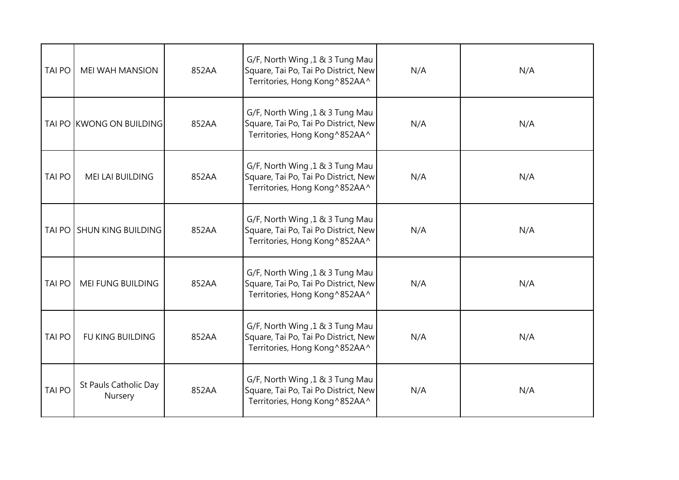| <b>TAI PO</b> | <b>MEI WAH MANSION</b>           | 852AA | G/F, North Wing, 1 & 3 Tung Mau<br>Square, Tai Po, Tai Po District, New<br>Territories, Hong Kong^852AA^ | N/A | N/A |
|---------------|----------------------------------|-------|----------------------------------------------------------------------------------------------------------|-----|-----|
|               | TAI PO KWONG ON BUILDING         | 852AA | G/F, North Wing, 1 & 3 Tung Mau<br>Square, Tai Po, Tai Po District, New<br>Territories, Hong Kong^852AA^ | N/A | N/A |
| TAI PO        | MEI LAI BUILDING                 | 852AA | G/F, North Wing, 1 & 3 Tung Mau<br>Square, Tai Po, Tai Po District, New<br>Territories, Hong Kong^852AA^ | N/A | N/A |
| TAI PO        | <b>SHUN KING BUILDING</b>        | 852AA | G/F, North Wing, 1 & 3 Tung Mau<br>Square, Tai Po, Tai Po District, New<br>Territories, Hong Kong^852AA^ | N/A | N/A |
| <b>TAI PO</b> | MEI FUNG BUILDING                | 852AA | G/F, North Wing, 1 & 3 Tung Mau<br>Square, Tai Po, Tai Po District, New<br>Territories, Hong Kong^852AA^ | N/A | N/A |
| <b>TAI PO</b> | FU KING BUILDING                 | 852AA | G/F, North Wing, 1 & 3 Tung Mau<br>Square, Tai Po, Tai Po District, New<br>Territories, Hong Kong^852AA^ | N/A | N/A |
| <b>TAI PO</b> | St Pauls Catholic Day<br>Nursery | 852AA | G/F, North Wing, 1 & 3 Tung Mau<br>Square, Tai Po, Tai Po District, New<br>Territories, Hong Kong^852AA^ | N/A | N/A |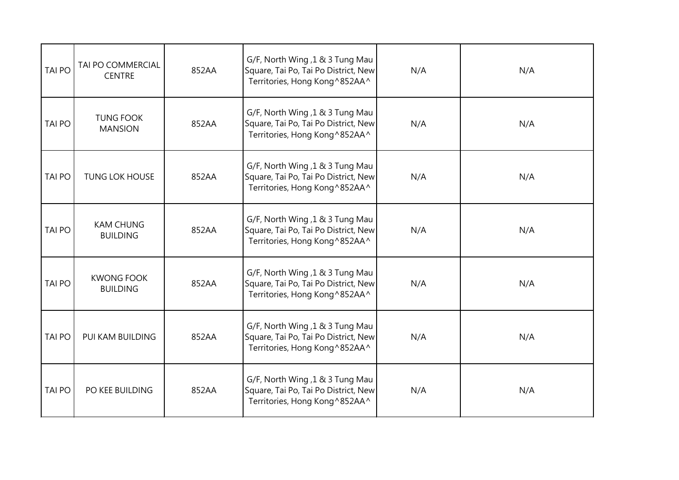| <b>TAI PO</b> | TAI PO COMMERCIAL<br><b>CENTRE</b>   | 852AA | G/F, North Wing, 1 & 3 Tung Mau<br>Square, Tai Po, Tai Po District, New<br>Territories, Hong Kong^852AA^  | N/A | N/A |
|---------------|--------------------------------------|-------|-----------------------------------------------------------------------------------------------------------|-----|-----|
| <b>TAI PO</b> | <b>TUNG FOOK</b><br><b>MANSION</b>   | 852AA | G/F, North Wing, 1 & 3 Tung Mau<br>Square, Tai Po, Tai Po District, New<br>Territories, Hong Kong ^852AA^ | N/A | N/A |
| <b>TAI PO</b> | <b>TUNG LOK HOUSE</b>                | 852AA | G/F, North Wing, 1 & 3 Tung Mau<br>Square, Tai Po, Tai Po District, New<br>Territories, Hong Kong^852AA^  | N/A | N/A |
| <b>TAI PO</b> | <b>KAM CHUNG</b><br><b>BUILDING</b>  | 852AA | G/F, North Wing, 1 & 3 Tung Mau<br>Square, Tai Po, Tai Po District, New<br>Territories, Hong Kong^852AA^  | N/A | N/A |
| <b>TAI PO</b> | <b>KWONG FOOK</b><br><b>BUILDING</b> | 852AA | G/F, North Wing, 1 & 3 Tung Mau<br>Square, Tai Po, Tai Po District, New<br>Territories, Hong Kong ^852AA^ | N/A | N/A |
| <b>TAI PO</b> | PUI KAM BUILDING                     | 852AA | G/F, North Wing, 1 & 3 Tung Mau<br>Square, Tai Po, Tai Po District, New<br>Territories, Hong Kong^852AA^  | N/A | N/A |
| <b>TAI PO</b> | PO KEE BUILDING                      | 852AA | G/F, North Wing, 1 & 3 Tung Mau<br>Square, Tai Po, Tai Po District, New<br>Territories, Hong Kong^852AA^  | N/A | N/A |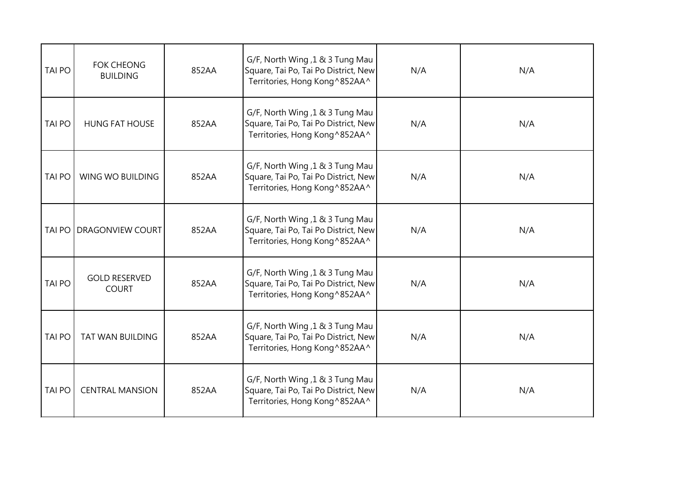| <b>TAI PO</b> | <b>FOK CHEONG</b><br><b>BUILDING</b> | 852AA | G/F, North Wing, 1 & 3 Tung Mau<br>Square, Tai Po, Tai Po District, New<br>Territories, Hong Kong^852AA^  | N/A | N/A |
|---------------|--------------------------------------|-------|-----------------------------------------------------------------------------------------------------------|-----|-----|
| <b>TAI PO</b> | <b>HUNG FAT HOUSE</b>                | 852AA | G/F, North Wing, 1 & 3 Tung Mau<br>Square, Tai Po, Tai Po District, New<br>Territories, Hong Kong ^852AA^ | N/A | N/A |
| <b>TAI PO</b> | WING WO BUILDING                     | 852AA | G/F, North Wing, 1 & 3 Tung Mau<br>Square, Tai Po, Tai Po District, New<br>Territories, Hong Kong^852AA^  | N/A | N/A |
| <b>TAI PO</b> | <b>DRAGONVIEW COURT</b>              | 852AA | G/F, North Wing, 1 & 3 Tung Mau<br>Square, Tai Po, Tai Po District, New<br>Territories, Hong Kong ^852AA^ | N/A | N/A |
| <b>TAI PO</b> | <b>GOLD RESERVED</b><br><b>COURT</b> | 852AA | G/F, North Wing, 1 & 3 Tung Mau<br>Square, Tai Po, Tai Po District, New<br>Territories, Hong Kong^852AA^  | N/A | N/A |
| <b>TAI PO</b> | <b>TAT WAN BUILDING</b>              | 852AA | G/F, North Wing, 1 & 3 Tung Mau<br>Square, Tai Po, Tai Po District, New<br>Territories, Hong Kong^852AA^  | N/A | N/A |
| <b>TAI PO</b> | <b>CENTRAL MANSION</b>               | 852AA | G/F, North Wing, 1 & 3 Tung Mau<br>Square, Tai Po, Tai Po District, New<br>Territories, Hong Kong^852AA^  | N/A | N/A |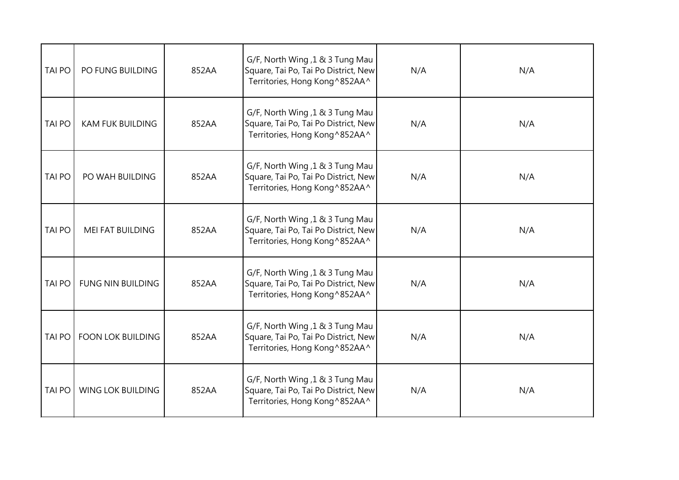| <b>TAI PO</b> | PO FUNG BUILDING         | 852AA | G/F, North Wing, 1 & 3 Tung Mau<br>Square, Tai Po, Tai Po District, New<br>Territories, Hong Kong^852AA^  | N/A | N/A |
|---------------|--------------------------|-------|-----------------------------------------------------------------------------------------------------------|-----|-----|
| <b>TAI PO</b> | <b>KAM FUK BUILDING</b>  | 852AA | G/F, North Wing, 1 & 3 Tung Mau<br>Square, Tai Po, Tai Po District, New<br>Territories, Hong Kong ^852AA^ | N/A | N/A |
| <b>TAI PO</b> | PO WAH BUILDING          | 852AA | G/F, North Wing, 1 & 3 Tung Mau<br>Square, Tai Po, Tai Po District, New<br>Territories, Hong Kong^852AA^  | N/A | N/A |
| <b>TAI PO</b> | <b>MEI FAT BUILDING</b>  | 852AA | G/F, North Wing, 1 & 3 Tung Mau<br>Square, Tai Po, Tai Po District, New<br>Territories, Hong Kong^852AA^  | N/A | N/A |
| <b>TAI PO</b> | <b>FUNG NIN BUILDING</b> | 852AA | G/F, North Wing, 1 & 3 Tung Mau<br>Square, Tai Po, Tai Po District, New<br>Territories, Hong Kong^852AA^  | N/A | N/A |
| <b>TAI PO</b> | <b>FOON LOK BUILDING</b> | 852AA | G/F, North Wing, 1 & 3 Tung Mau<br>Square, Tai Po, Tai Po District, New<br>Territories, Hong Kong^852AA^  | N/A | N/A |
| <b>TAI PO</b> | WING LOK BUILDING        | 852AA | G/F, North Wing, 1 & 3 Tung Mau<br>Square, Tai Po, Tai Po District, New<br>Territories, Hong Kong^852AA^  | N/A | N/A |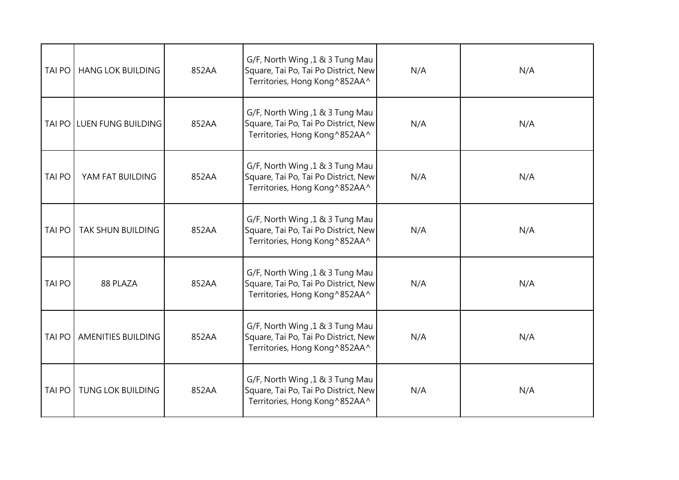| <b>TAI PO</b> | <b>HANG LOK BUILDING</b>  | 852AA | G/F, North Wing, 1 & 3 Tung Mau<br>Square, Tai Po, Tai Po District, New<br>Territories, Hong Kong^852AA^ | N/A | N/A |
|---------------|---------------------------|-------|----------------------------------------------------------------------------------------------------------|-----|-----|
| <b>TAI PO</b> | <b>LUEN FUNG BUILDING</b> | 852AA | G/F, North Wing, 1 & 3 Tung Mau<br>Square, Tai Po, Tai Po District, New<br>Territories, Hong Kong^852AA^ | N/A | N/A |
| <b>TAI PO</b> | YAM FAT BUILDING          | 852AA | G/F, North Wing, 1 & 3 Tung Mau<br>Square, Tai Po, Tai Po District, New<br>Territories, Hong Kong^852AA^ | N/A | N/A |
| <b>TAI PO</b> | TAK SHUN BUILDING         | 852AA | G/F, North Wing, 1 & 3 Tung Mau<br>Square, Tai Po, Tai Po District, New<br>Territories, Hong Kong^852AA^ | N/A | N/A |
| <b>TAI PO</b> | 88 PLAZA                  | 852AA | G/F, North Wing, 1 & 3 Tung Mau<br>Square, Tai Po, Tai Po District, New<br>Territories, Hong Kong^852AA^ | N/A | N/A |
| <b>TAI PO</b> | <b>AMENITIES BUILDING</b> | 852AA | G/F, North Wing, 1 & 3 Tung Mau<br>Square, Tai Po, Tai Po District, New<br>Territories, Hong Kong^852AA^ | N/A | N/A |
| <b>TAI PO</b> | <b>TUNG LOK BUILDING</b>  | 852AA | G/F, North Wing, 1 & 3 Tung Mau<br>Square, Tai Po, Tai Po District, New<br>Territories, Hong Kong^852AA^ | N/A | N/A |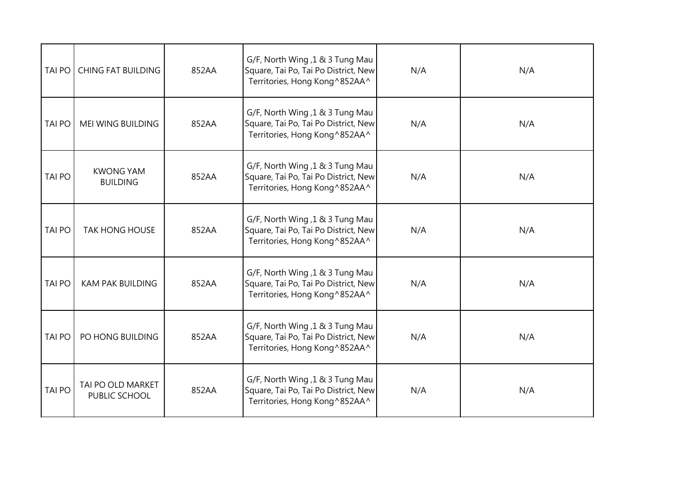| <b>TAI PO</b> | <b>CHING FAT BUILDING</b>           | 852AA | G/F, North Wing, 1 & 3 Tung Mau<br>Square, Tai Po, Tai Po District, New<br>Territories, Hong Kong^852AA^ | N/A | N/A |
|---------------|-------------------------------------|-------|----------------------------------------------------------------------------------------------------------|-----|-----|
| <b>TAI PO</b> | <b>MEI WING BUILDING</b>            | 852AA | G/F, North Wing, 1 & 3 Tung Mau<br>Square, Tai Po, Tai Po District, New<br>Territories, Hong Kong^852AA^ | N/A | N/A |
| <b>TAI PO</b> | <b>KWONG YAM</b><br><b>BUILDING</b> | 852AA | G/F, North Wing, 1 & 3 Tung Mau<br>Square, Tai Po, Tai Po District, New<br>Territories, Hong Kong^852AA^ | N/A | N/A |
| <b>TAI PO</b> | <b>TAK HONG HOUSE</b>               | 852AA | G/F, North Wing, 1 & 3 Tung Mau<br>Square, Tai Po, Tai Po District, New<br>Territories, Hong Kong^852AA^ | N/A | N/A |
| <b>TAI PO</b> | <b>KAM PAK BUILDING</b>             | 852AA | G/F, North Wing, 1 & 3 Tung Mau<br>Square, Tai Po, Tai Po District, New<br>Territories, Hong Kong^852AA^ | N/A | N/A |
| <b>TAI PO</b> | PO HONG BUILDING                    | 852AA | G/F, North Wing, 1 & 3 Tung Mau<br>Square, Tai Po, Tai Po District, New<br>Territories, Hong Kong^852AA^ | N/A | N/A |
| <b>TAI PO</b> | TAI PO OLD MARKET<br>PUBLIC SCHOOL  | 852AA | G/F, North Wing, 1 & 3 Tung Mau<br>Square, Tai Po, Tai Po District, New<br>Territories, Hong Kong^852AA^ | N/A | N/A |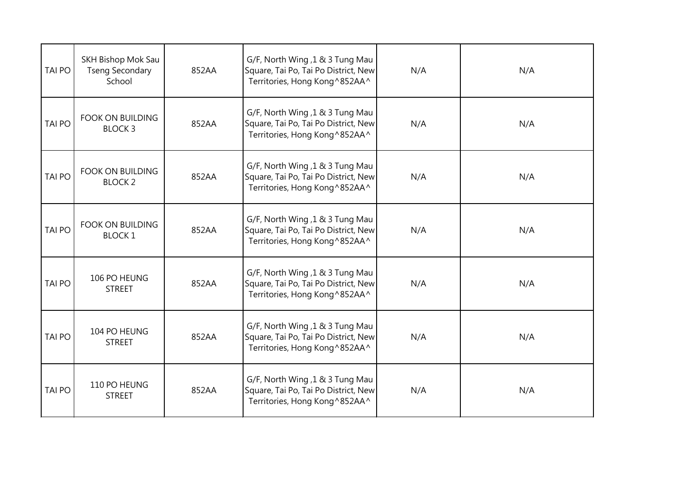| <b>TAI PO</b> | SKH Bishop Mok Sau<br><b>Tseng Secondary</b><br>School | 852AA | G/F, North Wing, 1 & 3 Tung Mau<br>Square, Tai Po, Tai Po District, New<br>Territories, Hong Kong^852AA^  | N/A | N/A |
|---------------|--------------------------------------------------------|-------|-----------------------------------------------------------------------------------------------------------|-----|-----|
| <b>TAI PO</b> | <b>FOOK ON BUILDING</b><br><b>BLOCK3</b>               | 852AA | G/F, North Wing ,1 & 3 Tung Mau<br>Square, Tai Po, Tai Po District, New<br>Territories, Hong Kong ^852AA^ | N/A | N/A |
| <b>TAI PO</b> | <b>FOOK ON BUILDING</b><br><b>BLOCK 2</b>              | 852AA | G/F, North Wing, 1 & 3 Tung Mau<br>Square, Tai Po, Tai Po District, New<br>Territories, Hong Kong^852AA^  | N/A | N/A |
| <b>TAI PO</b> | <b>FOOK ON BUILDING</b><br><b>BLOCK1</b>               | 852AA | G/F, North Wing, 1 & 3 Tung Mau<br>Square, Tai Po, Tai Po District, New<br>Territories, Hong Kong ^852AA^ | N/A | N/A |
| <b>TAI PO</b> | 106 PO HEUNG<br><b>STREET</b>                          | 852AA | G/F, North Wing, 1 & 3 Tung Mau<br>Square, Tai Po, Tai Po District, New<br>Territories, Hong Kong ^852AA^ | N/A | N/A |
| <b>TAI PO</b> | 104 PO HEUNG<br><b>STREET</b>                          | 852AA | G/F, North Wing, 1 & 3 Tung Mau<br>Square, Tai Po, Tai Po District, New<br>Territories, Hong Kong^852AA^  | N/A | N/A |
| <b>TAI PO</b> | 110 PO HEUNG<br><b>STREET</b>                          | 852AA | G/F, North Wing, 1 & 3 Tung Mau<br>Square, Tai Po, Tai Po District, New<br>Territories, Hong Kong ^852AA^ | N/A | N/A |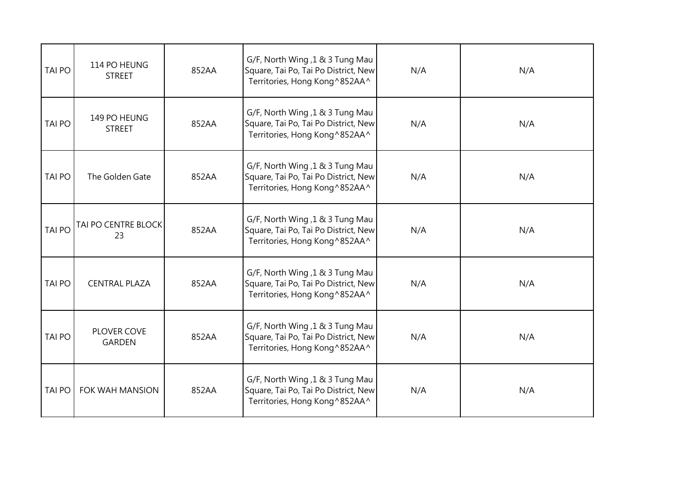| <b>TAI PO</b> | 114 PO HEUNG<br><b>STREET</b> | 852AA | G/F, North Wing, 1 & 3 Tung Mau<br>Square, Tai Po, Tai Po District, New<br>Territories, Hong Kong^852AA^  | N/A | N/A |
|---------------|-------------------------------|-------|-----------------------------------------------------------------------------------------------------------|-----|-----|
| <b>TAI PO</b> | 149 PO HEUNG<br><b>STREET</b> | 852AA | G/F, North Wing, 1 & 3 Tung Mau<br>Square, Tai Po, Tai Po District, New<br>Territories, Hong Kong^852AA^  | N/A | N/A |
| <b>TAI PO</b> | The Golden Gate               | 852AA | G/F, North Wing, 1 & 3 Tung Mau<br>Square, Tai Po, Tai Po District, New<br>Territories, Hong Kong^852AA^  | N/A | N/A |
| <b>TAI PO</b> | TAI PO CENTRE BLOCK<br>23     | 852AA | G/F, North Wing, 1 & 3 Tung Mau<br>Square, Tai Po, Tai Po District, New<br>Territories, Hong Kong^852AA^  | N/A | N/A |
| <b>TAI PO</b> | <b>CENTRAL PLAZA</b>          | 852AA | G/F, North Wing, 1 & 3 Tung Mau<br>Square, Tai Po, Tai Po District, New<br>Territories, Hong Kong^852AA^  | N/A | N/A |
| <b>TAI PO</b> | PLOVER COVE<br><b>GARDEN</b>  | 852AA | G/F, North Wing, 1 & 3 Tung Mau<br>Square, Tai Po, Tai Po District, New<br>Territories, Hong Kong^852AA^  | N/A | N/A |
| <b>TAI PO</b> | FOK WAH MANSION               | 852AA | G/F, North Wing, 1 & 3 Tung Mau<br>Square, Tai Po, Tai Po District, New<br>Territories, Hong Kong ^852AA^ | N/A | N/A |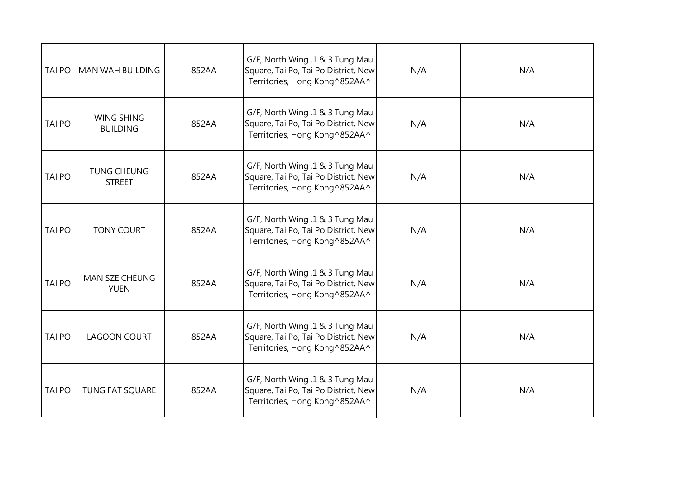| <b>TAI PO</b> | MAN WAH BUILDING                     | 852AA | G/F, North Wing, 1 & 3 Tung Mau<br>Square, Tai Po, Tai Po District, New<br>Territories, Hong Kong^852AA^ | N/A | N/A |
|---------------|--------------------------------------|-------|----------------------------------------------------------------------------------------------------------|-----|-----|
| <b>TAI PO</b> | <b>WING SHING</b><br><b>BUILDING</b> | 852AA | G/F, North Wing, 1 & 3 Tung Mau<br>Square, Tai Po, Tai Po District, New<br>Territories, Hong Kong^852AA^ | N/A | N/A |
| <b>TAI PO</b> | <b>TUNG CHEUNG</b><br><b>STREET</b>  | 852AA | G/F, North Wing, 1 & 3 Tung Mau<br>Square, Tai Po, Tai Po District, New<br>Territories, Hong Kong^852AA^ | N/A | N/A |
| <b>TAI PO</b> | <b>TONY COURT</b>                    | 852AA | G/F, North Wing, 1 & 3 Tung Mau<br>Square, Tai Po, Tai Po District, New<br>Territories, Hong Kong^852AA^ | N/A | N/A |
| <b>TAI PO</b> | <b>MAN SZE CHEUNG</b><br><b>YUEN</b> | 852AA | G/F, North Wing, 1 & 3 Tung Mau<br>Square, Tai Po, Tai Po District, New<br>Territories, Hong Kong^852AA^ | N/A | N/A |
| <b>TAI PO</b> | <b>LAGOON COURT</b>                  | 852AA | G/F, North Wing, 1 & 3 Tung Mau<br>Square, Tai Po, Tai Po District, New<br>Territories, Hong Kong^852AA^ | N/A | N/A |
| <b>TAI PO</b> | <b>TUNG FAT SQUARE</b>               | 852AA | G/F, North Wing, 1 & 3 Tung Mau<br>Square, Tai Po, Tai Po District, New<br>Territories, Hong Kong^852AA^ | N/A | N/A |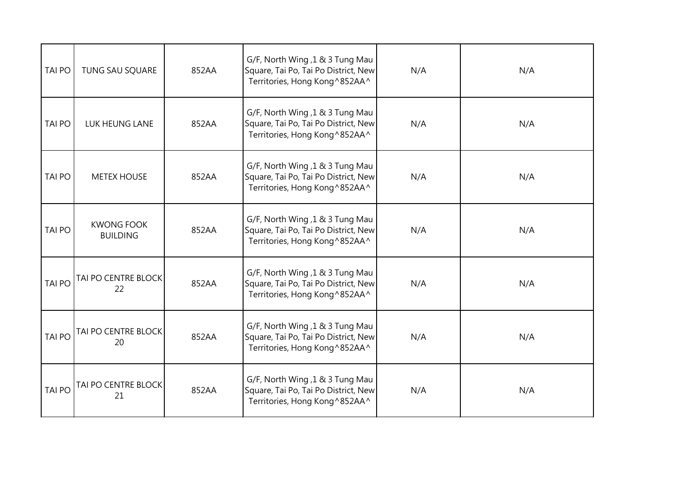| <b>TAI PO</b> | TUNG SAU SQUARE                      | 852AA | G/F, North Wing, 1 & 3 Tung Mau<br>Square, Tai Po, Tai Po District, New<br>Territories, Hong Kong^852AA^  | N/A | N/A |
|---------------|--------------------------------------|-------|-----------------------------------------------------------------------------------------------------------|-----|-----|
| <b>TAI PO</b> | LUK HEUNG LANE                       | 852AA | G/F, North Wing, 1 & 3 Tung Mau<br>Square, Tai Po, Tai Po District, New<br>Territories, Hong Kong^852AA^  | N/A | N/A |
| TAI PO        | <b>METEX HOUSE</b>                   | 852AA | G/F, North Wing, 1 & 3 Tung Mau<br>Square, Tai Po, Tai Po District, New<br>Territories, Hong Kong^852AA^  | N/A | N/A |
| <b>TAI PO</b> | <b>KWONG FOOK</b><br><b>BUILDING</b> | 852AA | G/F, North Wing, 1 & 3 Tung Mau<br>Square, Tai Po, Tai Po District, New<br>Territories, Hong Kong ^852AA^ | N/A | N/A |
| <b>TAI PO</b> | <b>TAI PO CENTRE BLOCK</b><br>22     | 852AA | G/F, North Wing, 1 & 3 Tung Mau<br>Square, Tai Po, Tai Po District, New<br>Territories, Hong Kong^852AA^  | N/A | N/A |
| <b>TAI PO</b> | TAI PO CENTRE BLOCK<br>20            | 852AA | G/F, North Wing, 1 & 3 Tung Mau<br>Square, Tai Po, Tai Po District, New<br>Territories, Hong Kong ^852AA^ | N/A | N/A |
| <b>TAI PO</b> | TAI PO CENTRE BLOCK<br>21            | 852AA | G/F, North Wing, 1 & 3 Tung Mau<br>Square, Tai Po, Tai Po District, New<br>Territories, Hong Kong^852AA^  | N/A | N/A |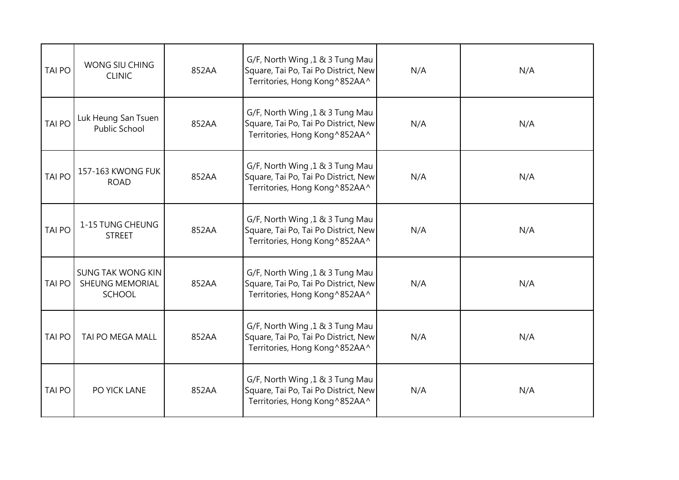| <b>TAI PO</b> | WONG SIU CHING<br><b>CLINIC</b>                              | 852AA | G/F, North Wing, 1 & 3 Tung Mau<br>Square, Tai Po, Tai Po District, New<br>Territories, Hong Kong^852AA^  | N/A | N/A |
|---------------|--------------------------------------------------------------|-------|-----------------------------------------------------------------------------------------------------------|-----|-----|
| <b>TAI PO</b> | Luk Heung San Tsuen<br><b>Public School</b>                  | 852AA | G/F, North Wing, 1 & 3 Tung Mau<br>Square, Tai Po, Tai Po District, New<br>Territories, Hong Kong ^852AA^ | N/A | N/A |
| <b>TAI PO</b> | 157-163 KWONG FUK<br><b>ROAD</b>                             | 852AA | G/F, North Wing, 1 & 3 Tung Mau<br>Square, Tai Po, Tai Po District, New<br>Territories, Hong Kong^852AA^  | N/A | N/A |
| <b>TAI PO</b> | 1-15 TUNG CHEUNG<br><b>STREET</b>                            | 852AA | G/F, North Wing, 1 & 3 Tung Mau<br>Square, Tai Po, Tai Po District, New<br>Territories, Hong Kong^852AA^  | N/A | N/A |
| <b>TAI PO</b> | <b>SUNG TAK WONG KIN</b><br>SHEUNG MEMORIAL<br><b>SCHOOL</b> | 852AA | G/F, North Wing, 1 & 3 Tung Mau<br>Square, Tai Po, Tai Po District, New<br>Territories, Hong Kong ^852AA^ | N/A | N/A |
| <b>TAI PO</b> | TAI PO MEGA MALL                                             | 852AA | G/F, North Wing, 1 & 3 Tung Mau<br>Square, Tai Po, Tai Po District, New<br>Territories, Hong Kong^852AA^  | N/A | N/A |
| <b>TAI PO</b> | PO YICK LANE                                                 | 852AA | G/F, North Wing, 1 & 3 Tung Mau<br>Square, Tai Po, Tai Po District, New<br>Territories, Hong Kong ^852AA^ | N/A | N/A |